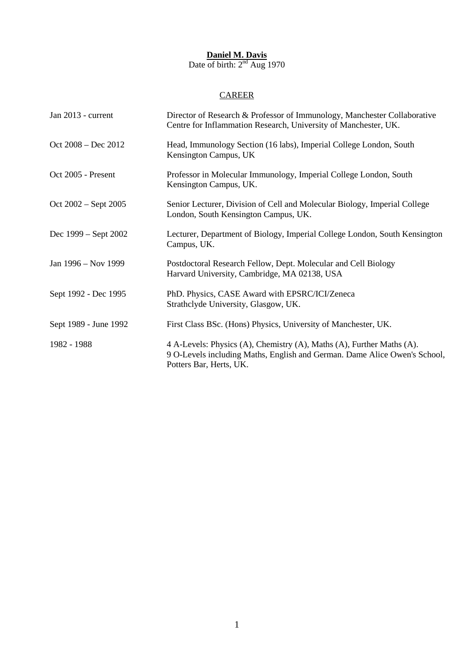### **Daniel M. Davis** Date of birth:  $2<sup>nd</sup> Aug$  1970

# **CAREER**

| Jan 2013 - current    | Director of Research & Professor of Immunology, Manchester Collaborative<br>Centre for Inflammation Research, University of Manchester, UK.                                   |
|-----------------------|-------------------------------------------------------------------------------------------------------------------------------------------------------------------------------|
| $Oct 2008 - Dec 2012$ | Head, Immunology Section (16 labs), Imperial College London, South<br>Kensington Campus, UK                                                                                   |
| Oct 2005 - Present    | Professor in Molecular Immunology, Imperial College London, South<br>Kensington Campus, UK.                                                                                   |
| Oct 2002 – Sept 2005  | Senior Lecturer, Division of Cell and Molecular Biology, Imperial College<br>London, South Kensington Campus, UK.                                                             |
| Dec 1999 – Sept 2002  | Lecturer, Department of Biology, Imperial College London, South Kensington<br>Campus, UK.                                                                                     |
| Jan 1996 – Nov 1999   | Postdoctoral Research Fellow, Dept. Molecular and Cell Biology<br>Harvard University, Cambridge, MA 02138, USA                                                                |
| Sept 1992 - Dec 1995  | PhD. Physics, CASE Award with EPSRC/ICI/Zeneca<br>Strathclyde University, Glasgow, UK.                                                                                        |
| Sept 1989 - June 1992 | First Class BSc. (Hons) Physics, University of Manchester, UK.                                                                                                                |
| 1982 - 1988           | 4 A-Levels: Physics (A), Chemistry (A), Maths (A), Further Maths (A).<br>9 O-Levels including Maths, English and German. Dame Alice Owen's School,<br>Potters Bar, Herts, UK. |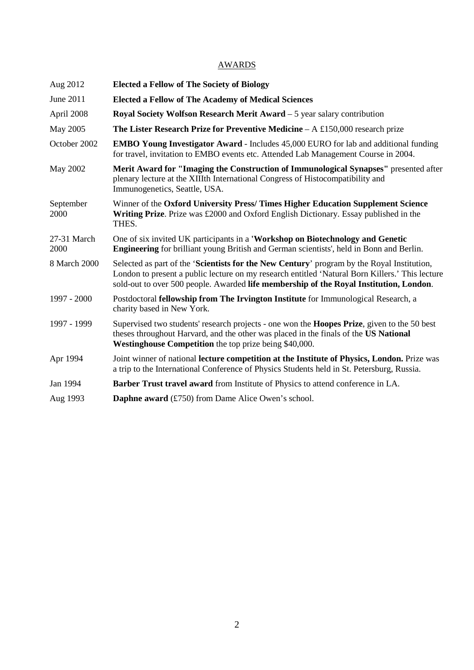## AWARDS

| Aug 2012            | <b>Elected a Fellow of The Society of Biology</b>                                                                                                                                                                                                                                       |
|---------------------|-----------------------------------------------------------------------------------------------------------------------------------------------------------------------------------------------------------------------------------------------------------------------------------------|
| June 2011           | <b>Elected a Fellow of The Academy of Medical Sciences</b>                                                                                                                                                                                                                              |
| April 2008          | Royal Society Wolfson Research Merit Award – 5 year salary contribution                                                                                                                                                                                                                 |
| May 2005            | <b>The Lister Research Prize for Preventive Medicine – A £150,000 research prize</b>                                                                                                                                                                                                    |
| October 2002        | <b>EMBO Young Investigator Award - Includes 45,000 EURO for lab and additional funding</b><br>for travel, invitation to EMBO events etc. Attended Lab Management Course in 2004.                                                                                                        |
| May 2002            | Merit Award for "Imaging the Construction of Immunological Synapses" presented after<br>plenary lecture at the XIIIth International Congress of Histocompatibility and<br>Immunogenetics, Seattle, USA.                                                                                 |
| September<br>2000   | Winner of the Oxford University Press/Times Higher Education Supplement Science<br>Writing Prize. Prize was £2000 and Oxford English Dictionary. Essay published in the<br>THES.                                                                                                        |
| 27-31 March<br>2000 | One of six invited UK participants in a 'Workshop on Biotechnology and Genetic<br><b>Engineering</b> for brilliant young British and German scientists', held in Bonn and Berlin.                                                                                                       |
| 8 March 2000        | Selected as part of the 'Scientists for the New Century' program by the Royal Institution,<br>London to present a public lecture on my research entitled 'Natural Born Killers.' This lecture<br>sold-out to over 500 people. Awarded life membership of the Royal Institution, London. |
| 1997 - 2000         | Postdoctoral fellowship from The Irvington Institute for Immunological Research, a<br>charity based in New York.                                                                                                                                                                        |
| 1997 - 1999         | Supervised two students' research projects - one won the <b>Hoopes Prize</b> , given to the 50 best<br>theses throughout Harvard, and the other was placed in the finals of the US National<br>Westinghouse Competition the top prize being \$40,000.                                   |
| Apr 1994            | Joint winner of national lecture competition at the Institute of Physics, London. Prize was<br>a trip to the International Conference of Physics Students held in St. Petersburg, Russia.                                                                                               |
| Jan 1994            | <b>Barber Trust travel award</b> from Institute of Physics to attend conference in LA.                                                                                                                                                                                                  |
| Aug 1993            | <b>Daphne award</b> (£750) from Dame Alice Owen's school.                                                                                                                                                                                                                               |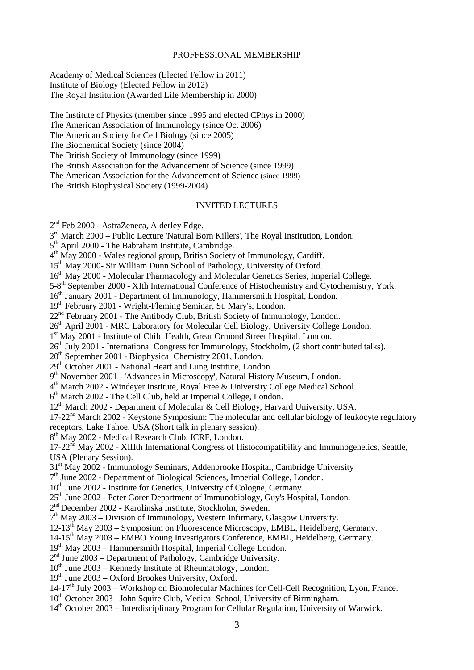#### PROFFESSIONAL MEMBERSHIP

Academy of Medical Sciences (Elected Fellow in 2011) Institute of Biology (Elected Fellow in 2012) The Royal Institution (Awarded Life Membership in 2000)

The Institute of Physics (member since 1995 and elected CPhys in 2000) The American Association of Immunology (since Oct 2006) The American Society for Cell Biology (since 2005) The Biochemical Society (since 2004) The British Society of Immunology (since 1999) The British Association for the Advancement of Science (since 1999) The American Association for the Advancement of Science (since 1999) The British Biophysical Society (1999-2004)

#### INVITED LECTURES

2<sup>nd</sup> Feb 2000 - AstraZeneca, Alderley Edge.

3<sup>rd</sup> March 2000 – Public Lecture 'Natural Born Killers', The Royal Institution, London.

5<sup>th</sup> April 2000 - The Babraham Institute, Cambridge.

 $4<sup>th</sup>$  May 2000 - Wales regional group, British Society of Immunology, Cardiff.

15<sup>th</sup> May 2000- Sir William Dunn School of Pathology, University of Oxford.

16<sup>th</sup> May 2000 - Molecular Pharmacology and Molecular Genetics Series, Imperial College.

5-8th September 2000 - XIth International Conference of Histochemistry and Cytochemistry, York.

16<sup>th</sup> January 2001 - Department of Immunology, Hammersmith Hospital, London.

19th February 2001 - Wright-Fleming Seminar, St. Mary's, London.

22<sup>nd</sup> February 2001 - The Antibody Club, British Society of Immunology, London.

26<sup>th</sup> April 2001 - MRC Laboratory for Molecular Cell Biology, University College London.

1<sup>st</sup> May 2001 - Institute of Child Health, Great Ormond Street Hospital, London.

26<sup>th</sup> July 2001 - International Congress for Immunology, Stockholm, (2 short contributed talks).

20<sup>th</sup> September 2001 - Biophysical Chemistry 2001, London.

29<sup>th</sup> October 2001 - National Heart and Lung Institute, London.

9<sup>th</sup> November 2001 - 'Advances in Microscopy', Natural History Museum, London.

4th March 2002 - Windeyer Institute, Royal Free & University College Medical School.

 $6<sup>th</sup> March 2002$  - The Cell Club, held at Imperial College, London.

12<sup>th</sup> March 2002 - Department of Molecular & Cell Biology, Harvard University, USA.

17-22<sup>nd</sup> March 2002 - Keystone Symposium: The molecular and cellular biology of leukocyte regulatory

receptors, Lake Tahoe, USA (Short talk in plenary session).

8<sup>th</sup> May 2002 - Medical Research Club, ICRF, London.

 $17-22<sup>nd</sup>$  May 2002 - XIIIth International Congress of Histocompatibility and Immunogenetics, Seattle, USA (Plenary Session).

31st May 2002 - Immunology Seminars, Addenbrooke Hospital, Cambridge University

7th June 2002 - Department of Biological Sciences, Imperial College, London.

10<sup>th</sup> June 2002 - Institute for Genetics, University of Cologne, Germany.

25<sup>th</sup> June 2002 - Peter Gorer Department of Immunobiology, Guy's Hospital, London.

2nd December 2002 - Karolinska Institute, Stockholm, Sweden.

 $7<sup>th</sup>$  May 2003 – Division of Immunology, Western Infirmary, Glasgow University.

12-13<sup>th</sup> May 2003 – Symposium on Fluorescence Microscopy, EMBL, Heidelberg, Germany.

14-15th May 2003 – EMBO Young Investigators Conference, EMBL, Heidelberg, Germany.

 $19<sup>th</sup>$  May 2003 – Hammersmith Hospital, Imperial College London.

 $2<sup>nd</sup>$  June 2003 – Department of Pathology, Cambridge University.

 $10^{th}$  June 2003 – Kennedy Institute of Rheumatology, London.

 $19<sup>th</sup>$  June 2003 – Oxford Brookes University, Oxford.

14-17th July 2003 – Workshop on Biomolecular Machines for Cell-Cell Recognition, Lyon, France.

10<sup>th</sup> October 2003 –John Squire Club, Medical School, University of Birmingham.

14<sup>th</sup> October 2003 – Interdisciplinary Program for Cellular Regulation, University of Warwick.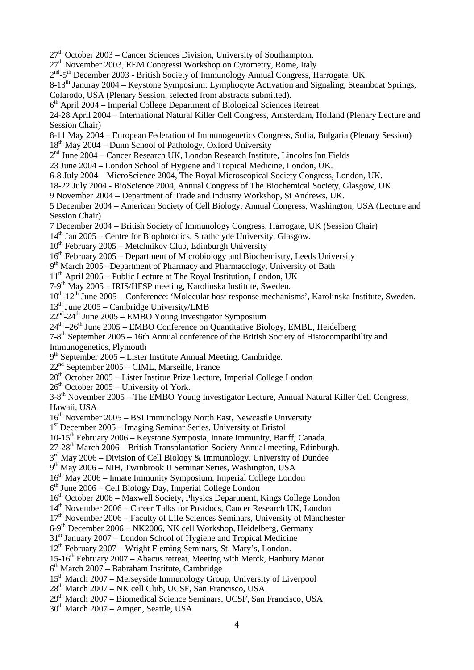- $27<sup>th</sup>$  October 2003 Cancer Sciences Division, University of Southampton.
- $27<sup>th</sup>$  November 2003, EEM Congressi Workshop on Cytometry, Rome, Italy
- $2<sup>nd</sup> 5<sup>th</sup>$  December 2003 British Society of Immunology Annual Congress, Harrogate, UK.
- 8-13<sup>th</sup> Januray 2004 Keystone Symposium: Lymphocyte Activation and Signaling, Steamboat Springs, Colarodo, USA (Plenary Session, selected from abstracts submitted).
- $6<sup>th</sup>$  April 2004 Imperial College Department of Biological Sciences Retreat
- 24-28 April 2004 International Natural Killer Cell Congress, Amsterdam, Holland (Plenary Lecture and
- Session Chair)
- 8-11 May 2004 European Federation of Immunogenetics Congress, Sofia, Bulgaria (Plenary Session)
- $18<sup>th</sup>$  May 2004 Dunn School of Pathology, Oxford University
- $2<sup>nd</sup> June 2004 Cancer Research UK, London Research Institute, Lincolns Ina Fields$
- 23 June 2004 London School of Hygiene and Tropical Medicine, London, UK.
- 6-8 July 2004 MicroScience 2004, The Royal Microscopical Society Congress, London, UK.
- 18-22 July 2004 BioScience 2004, Annual Congress of The Biochemical Society, Glasgow, UK.
- 9 November 2004 Department of Trade and Industry Workshop, St Andrews, UK.
- 5 December 2004 American Society of Cell Biology, Annual Congress, Washington, USA (Lecture and Session Chair)
- 7 December 2004 British Society of Immunology Congress, Harrogate, UK (Session Chair)
- 14<sup>th</sup> Jan 2005 Centre for Biophotonics, Strathclyde University, Glasgow.
- $10^{th}$  February 2005 Metchnikov Club, Edinburgh University
- $16<sup>th</sup>$  February 2005 Department of Microbiology and Biochemistry, Leeds University
- 9<sup>th</sup> March 2005 –Department of Pharmacy and Pharmacology, University of Bath
- $11<sup>th</sup>$  April 2005 Public Lecture at The Royal Institution, London, UK
- 7-9th May 2005 IRIS/HFSP meeting, Karolinska Institute, Sweden.
- 10<sup>th</sup>-12<sup>th</sup> June 2005 Conference: 'Molecular host response mechanisms', Karolinska Institute, Sweden.
- $13<sup>th</sup>$  June 2005 Cambridge University/LMB
- $22<sup>nd</sup> 24<sup>th</sup>$  June 2005 EMBO Young Investigator Symposium
- $24<sup>th</sup> 26<sup>th</sup>$  June 2005 EMBO Conference on Quantitative Biology, EMBL, Heidelberg
- 7-8th September 2005 16th Annual conference of the British Society of Histocompatibility and Immunogenetics, Plymouth
- 9<sup>th</sup> September 2005 Lister Institute Annual Meeting, Cambridge.
- 22nd September 2005 CIML, Marseille, France
- $20<sup>th</sup>$  October 2005 Lister Institue Prize Lecture, Imperial College London
- $26<sup>th</sup>$  October 2005 University of York.

3-8th November 2005 – The EMBO Young Investigator Lecture, Annual Natural Killer Cell Congress, Hawaii, USA

- $16<sup>th</sup>$  November 2005 BSI Immunology North East, Newcastle University
- 1st December 2005 Imaging Seminar Series, University of Bristol
- 10-15th February 2006 Keystone Symposia, Innate Immunity, Banff, Canada.
- 27-28th March 2006 British Transplantation Society Annual meeting, Edinburgh.
- $3<sup>rd</sup>$  May 2006 Division of Cell Biology & Immunology, University of Dundee
- 9th May 2006 NIH, Twinbrook II Seminar Series, Washington, USA
- 16th May 2006 Innate Immunity Symposium, Imperial College London
- $6<sup>th</sup>$  June 2006 Cell Biology Day, Imperial College London
- 16th October 2006 Maxwell Society, Physics Department, Kings College London
- 14th November 2006 Career Talks for Postdocs, Cancer Research UK, London
- 17<sup>th</sup> November 2006 Faculty of Life Sciences Seminars, University of Manchester
- 6-9th December 2006 NK2006, NK cell Workshop, Heidelberg, Germany
- $31<sup>st</sup>$  January 2007 London School of Hygiene and Tropical Medicine
- $12<sup>th</sup>$  February 2007 Wright Fleming Seminars, St. Mary's, London.
- $15{\text -}16^{\text{th}}$  February 2007 Abacus retreat, Meeting with Merck, Hanbury Manor
- $6<sup>th</sup> March 2007 Babraham Institute, Cambridge$
- 15th March 2007 Merseyside Immunology Group, University of Liverpool
- 28<sup>th</sup> March 2007 NK cell Club, UCSF, San Francisco, USA
- 29th March 2007 Biomedical Science Seminars, UCSF, San Francisco, USA
- $30<sup>th</sup>$  March 2007 Amgen, Seattle, USA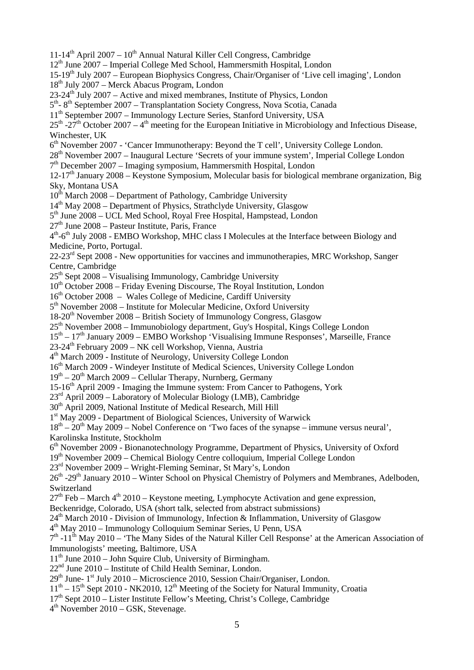11-14<sup>th</sup> April 2007 –  $10^{th}$  Annual Natural Killer Cell Congress, Cambridge 12th June 2007 – Imperial College Med School, Hammersmith Hospital, London 15-19th July 2007 – European Biophysics Congress, Chair/Organiser of 'Live cell imaging', London 18th July 2007 – Merck Abacus Program, London  $23-24$ <sup>th</sup> July 2007 – Active and mixed membranes, Institute of Physics, London 5<sup>th</sup>- 8<sup>th</sup> September 2007 – Transplantation Society Congress, Nova Scotia, Canada 11th September 2007 – Immunology Lecture Series, Stanford University, USA  $25<sup>th</sup>$  -27<sup>th</sup> October 2007 – 4<sup>th</sup> meeting for the European Initiative in Microbiology and Infectious Disease, Winchester, UK 6th November 2007 - 'Cancer Immunotherapy: Beyond the T cell', University College London. 28th November 2007 – Inaugural Lecture 'Secrets of your immune system', Imperial College London  $7<sup>th</sup>$  December 2007 – Imaging symposium, Hammersmith Hospital, London  $12-17<sup>th</sup>$  January 2008 – Keystone Symposium, Molecular basis for biological membrane organization, Big Sky, Montana USA  $10^{th}$  March 2008 – Department of Pathology, Cambridge University  $14<sup>th</sup>$  May 2008 – Department of Physics, Strathclyde University, Glasgow 5<sup>th</sup> June 2008 – UCL Med School, Royal Free Hospital, Hampstead, London  $27<sup>th</sup>$  June 2008 – Pasteur Institute, Paris, France 4<sup>th</sup>-6<sup>th</sup> July 2008 - EMBO Workshop, MHC class I Molecules at the Interface between Biology and Medicine, Porto, Portugal. 22-23<sup>rd</sup> Sept 2008 - New opportunities for vaccines and immunotherapies, MRC Workshop, Sanger Centre, Cambridge  $25<sup>th</sup>$  Sept 2008 – Visualising Immunology, Cambridge University 10<sup>th</sup> October 2008 – Friday Evening Discourse, The Royal Institution, London 16<sup>th</sup> October 2008 – Wales College of Medicine, Cardiff University  $5<sup>th</sup>$  November 2008 – Institute for Molecular Medicine, Oxford University  $18-20<sup>th</sup>$  November 2008 – British Society of Immunology Congress, Glasgow 25th November 2008 – Immunobiology department, Guy's Hospital, Kings College London  $15<sup>th</sup> - 17<sup>th</sup>$  January 2009 – EMBO Workshop 'Visualising Immune Responses', Marseille, France 23-24th February 2009 – NK cell Workshop, Vienna, Austria 4th March 2009 - Institute of Neurology, University College London 16<sup>th</sup> March 2009 - Windeyer Institute of Medical Sciences, University College London  $19<sup>th</sup> - 20<sup>th</sup>$  March 2009 – Cellular Therapy, Nurnberg, Germany 15-16th April 2009 - Imaging the Immune system: From Cancer to Pathogens, York 23rd April 2009 – Laboratory of Molecular Biology (LMB), Cambridge 30<sup>th</sup> April 2009, National Institute of Medical Research, Mill Hill 1st May 2009 - Department of Biological Sciences, University of Warwick  $18<sup>th</sup> - 20<sup>th</sup>$  May 2009 – Nobel Conference on 'Two faces of the synapse – immune versus neural', Karolinska Institute, Stockholm 6th November 2009 - Bionanotechnology Programme, Department of Physics, University of Oxford 19th November 2009 – Chemical Biology Centre colloquium, Imperial College London 23rd November 2009 – Wright-Fleming Seminar, St Mary's, London  $26<sup>th</sup>$  -29<sup>th</sup> January 2010 – Winter School on Physical Chemistry of Polymers and Membranes, Adelboden, Switzerland  $27<sup>th</sup>$  Feb – March  $4<sup>th</sup>$  2010 – Keystone meeting, Lymphocyte Activation and gene expression, Beckenridge, Colorado, USA (short talk, selected from abstract submissions)  $24<sup>th</sup>$  March 2010 - Division of Immunology, Infection & Inflammation, University of Glasgow  $4<sup>th</sup>$  May 2010 – Immunology Colloquium Seminar Series, U Penn, USA  $7<sup>th</sup> -11<sup>th</sup>$  May 2010 – 'The Many Sides of the Natural Killer Cell Response' at the American Association of Immunologists' meeting, Baltimore, USA  $11<sup>th</sup>$  June 2010 – John Squire Club, University of Birmingham. 22nd June 2010 – Institute of Child Health Seminar, London.  $29<sup>th</sup>$  June-  $1<sup>st</sup>$  July 2010 – Microscience 2010, Session Chair/Organiser, London.  $11<sup>th</sup> - 15<sup>th</sup>$  Sept 2010 - NK2010,  $12<sup>th</sup>$  Meeting of the Society for Natural Immunity, Croatia  $17<sup>th</sup>$  Sept 2010 – Lister Institute Fellow's Meeting, Christ's College, Cambridge 4th November 2010 – GSK, Stevenage.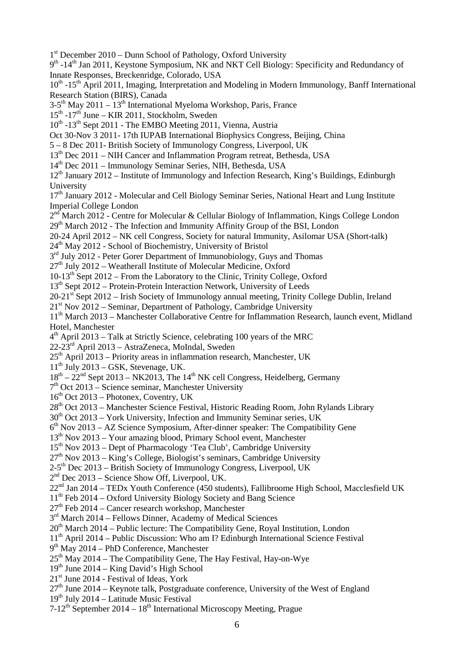6 1<sup>st</sup> December 2010 – Dunn School of Pathology, Oxford University 9<sup>th</sup> -14<sup>th</sup> Jan 2011, Keystone Symposium, NK and NKT Cell Biology: Specificity and Redundancy of Innate Responses, Breckenridge, Colorado, USA 10<sup>th</sup> -15<sup>th</sup> April 2011, Imaging, Interpretation and Modeling in Modern Immunology, Banff International Research Station (BIRS), Canada  $3-5$ <sup>th</sup> May 2011 – 13<sup>th</sup> International Myeloma Workshop, Paris, France  $15<sup>th</sup> -17<sup>th</sup>$  June – KIR 2011, Stockholm, Sweden  $10^{th}$  -13<sup>th</sup> Sept 2011 - The EMBO Meeting 2011, Vienna, Austria Oct 30-Nov 3 2011- 17th IUPAB International Biophysics Congress, Beijing, China 5 – 8 Dec 2011- British Society of Immunology Congress, Liverpool, UK 13<sup>th</sup> Dec 2011 – NIH Cancer and Inflammation Program retreat, Bethesda, USA 14th Dec 2011 – Immunology Seminar Series, NIH, Bethesda, USA 12<sup>th</sup> January 2012 – Institute of Immunology and Infection Research, King's Buildings, Edinburgh University 17<sup>th</sup> January 2012 - Molecular and Cell Biology Seminar Series, National Heart and Lung Institute Imperial College London  $2<sup>nd</sup>$  March 2012 - Centre for Molecular & Cellular Biology of Inflammation, Kings College London  $29<sup>th</sup>$  March 2012 - The Infection and Immunity Affinity Group of the BSI, London 20-24 April 2012 – NK cell Congress, Society for natural Immunity, Asilomar USA (Short-talk) 24th May 2012 - School of Biochemistry, University of Bristol  $3<sup>rd</sup>$  July 2012 - Peter Gorer Department of Immunobiology, Guys and Thomas  $27<sup>th</sup>$  July 2012 – Weatherall Institute of Molecular Medicine, Oxford 10-13th Sept 2012 – From the Laboratory to the Clinic, Trinity College, Oxford 13<sup>th</sup> Sept 2012 – Protein-Protein Interaction Network, University of Leeds  $20-21$ <sup>st</sup> Sept 2012 – Irish Society of Immunology annual meeting, Trinity College Dublin, Ireland  $21<sup>st</sup>$  Nov  $2012$  – Seminar, Department of Pathology, Cambridge University 11<sup>th</sup> March 2013 – Manchester Collaborative Centre for Inflammation Research, launch event, Midland Hotel, Manchester  $4<sup>th</sup>$  April 2013 – Talk at Strictly Science, celebrating 100 years of the MRC 22-23rd April 2013 – AstraZeneca, MoIndal, Sweden  $25<sup>th</sup>$  April 2013 – Priority areas in inflammation research, Manchester, UK  $11<sup>th</sup>$  July 2013 – GSK, Stevenage, UK.  $18^{th} - 22^{nd}$  Sept 2013 – NK2013, The 14<sup>th</sup> NK cell Congress, Heidelberg, Germany  $7<sup>th</sup>$  Oct 2013 – Science seminar, Manchester University  $16<sup>th</sup>$  Oct 2013 – Photonex, Coventry, UK 28<sup>th</sup> Oct 2013 – Manchester Science Festival, Historic Reading Room, John Rylands Library  $30<sup>th</sup>$  Oct 2013 – York University, Infection and Immunity Seminar series, UK  $6<sup>th</sup>$  Nov 2013 – AZ Science Symposium, After-dinner speaker: The Compatibility Gene 13<sup>th</sup> Nov 2013 – Your amazing blood, Primary School event, Manchester 15<sup>th</sup> Nov 2013 – Dept of Pharmacology 'Tea Club', Cambridge University  $27<sup>th</sup>$  Nov 2013 – King's College, Biologist's seminars, Cambridge University  $2-5$ <sup>th</sup> Dec 2013 – British Society of Immunology Congress, Liverpool, UK  $2<sup>nd</sup>$  Dec 2013 – Science Show Off, Liverpool, UK. 22nd Jan 2014 – TEDx Youth Conference (450 students), Fallibroome High School, Macclesfield UK 11th Feb 2014 – Oxford University Biology Society and Bang Science  $27<sup>th</sup>$  Feb 2014 – Cancer research workshop, Manchester 3<sup>rd</sup> March 2014 – Fellows Dinner, Academy of Medical Sciences  $20<sup>th</sup>$  March 2014 – Public lecture: The Compatibility Gene, Royal Institution, London 11th April 2014 – Public Discussion: Who am I? Edinburgh International Science Festival 9th May 2014 – PhD Conference, Manchester  $25<sup>th</sup>$  May 2014 – The Compatibility Gene, The Hay Festival, Hay-on-Wye 19th June 2014 – King David's High School 21<sup>st</sup> June 2014 - Festival of Ideas, York  $27<sup>th</sup>$  June 2014 – Keynote talk, Postgraduate conference, University of the West of England  $19<sup>th</sup>$  July 2014 – Latitude Music Festival  $7-12^{th}$  September 2014 –  $18^{th}$  International Microscopy Meeting, Prague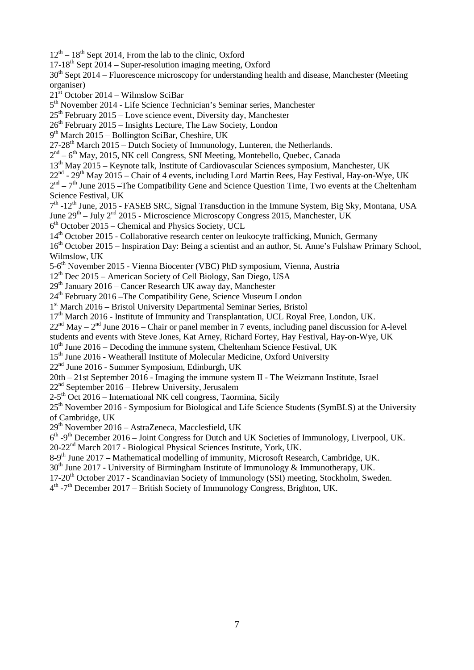$12<sup>th</sup> - 18<sup>th</sup>$  Sept 2014, From the lab to the clinic, Oxford

 $17-18^{th}$  Sept  $2014$  – Super-resolution imaging meeting, Oxford

 $30<sup>th</sup>$  Sept 2014 – Fluorescence microscopy for understanding health and disease, Manchester (Meeting organiser)

 $21<sup>st</sup>$  October 2014 – Wilmslow SciBar

5th November 2014 - Life Science Technician's Seminar series, Manchester

 $25<sup>th</sup>$  February 2015 – Love science event, Diversity day, Manchester

 $26<sup>th</sup>$  February 2015 – Insights Lecture, The Law Society, London

 $9<sup>th</sup> March 2015 – Bollington SciBar, Cheshire, UK$ 

27-28th March 2015 – Dutch Society of Immunology, Lunteren, the Netherlands.

 $2<sup>nd</sup> - 6<sup>th</sup>$  May, 2015, NK cell Congress, SNI Meeting, Montebello, Quebec, Canada

13th May 2015 – Keynote talk, Institute of Cardiovascular Sciences symposium, Manchester, UK

 $22^{nd}$  -  $29^{th}$  May 2015 – Chair of 4 events, including Lord Martin Rees, Hay Festival, Hay-on-Wye, UK

 $2<sup>nd</sup> - 7<sup>th</sup>$  June 2015 –The Compatibility Gene and Science Ouestion Time, Two events at the Cheltenham Science Festival, UK

 $7<sup>th</sup>$  -12<sup>th</sup> June, 2015 - FASEB SRC, Signal Transduction in the Immune System, Big Sky, Montana, USA June  $29^{th}$  – July  $2^{nd}$  2015 - Microscience Microscopy Congress 2015, Manchester, UK

 $6<sup>th</sup>$  October 2015 – Chemical and Physics Society, UCL

14<sup>th</sup> October 2015 - Collaborative research center on leukocyte trafficking, Munich, Germany

16<sup>th</sup> October 2015 – Inspiration Day: Being a scientist and an author, St. Anne's Fulshaw Primary School, Wilmslow, UK

5-6th November 2015 - Vienna Biocenter (VBC) PhD symposium, Vienna, Austria

12th Dec 2015 – American Society of Cell Biology, San Diego, USA

29<sup>th</sup> January 2016 – Cancer Research UK away day, Manchester

24<sup>th</sup> February 2016 – The Compatibility Gene, Science Museum London

1st March 2016 – Bristol University Departmental Seminar Series, Bristol

17<sup>th</sup> March 2016 - Institute of Immunity and Transplantation, UCL Royal Free, London, UK.

 $22<sup>nd</sup>$  May  $-2<sup>nd</sup>$  June 2016 – Chair or panel member in 7 events, including panel discussion for A-level

students and events with Steve Jones, Kat Arney, Richard Fortey, Hay Festival, Hay-on-Wye, UK

 $10<sup>th</sup>$  June 2016 – Decoding the immune system, Cheltenham Science Festival, UK

15<sup>th</sup> June 2016 - Weatherall Institute of Molecular Medicine, Oxford University

 $22<sup>nd</sup>$  June 2016 - Summer Symposium, Edinburgh, UK

20th – 21st September 2016 - Imaging the immune system II - The Weizmann Institute, Israel

 $22<sup>nd</sup>$  September 2016 – Hebrew University, Jerusalem

 $2-5$ <sup>th</sup> Oct 2016 – International NK cell congress, Taormina, Sicily

25<sup>th</sup> November 2016 - Symposium for Biological and Life Science Students (SymBLS) at the University of Cambridge, UK

29th November 2016 – AstraZeneca, Macclesfield, UK

 $6<sup>th</sup>$ -9<sup>th</sup> December 2016 – Joint Congress for Dutch and UK Societies of Immunology, Liverpool, UK.

20-22nd March 2017 - Biological Physical Sciences Institute, York, UK.

8-9<sup>th</sup> June 2017 – Mathematical modelling of immunity, Microsoft Research, Cambridge, UK.

 $30<sup>th</sup>$  June 2017 - University of Birmingham Institute of Immunology & Immunotherapy, UK.

17-20th October 2017 - Scandinavian Society of Immunology (SSI) meeting, Stockholm, Sweden.

 $4<sup>th</sup>$  -7<sup>th</sup> December 2017 – British Society of Immunology Congress, Brighton, UK.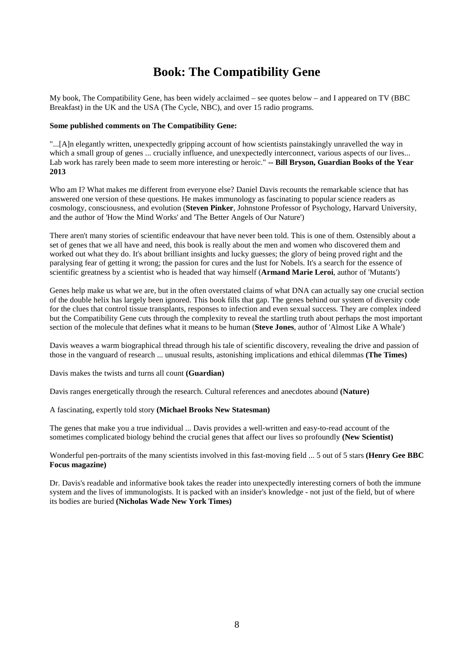# **Book: The Compatibility Gene**

My book, The Compatibility Gene, has been widely acclaimed – see quotes below – and I appeared on TV (BBC Breakfast) in the UK and the USA (The Cycle, NBC), and over 15 radio programs.

#### **Some published comments on The Compatibility Gene:**

"...[A]n elegantly written, unexpectedly gripping account of how scientists painstakingly unravelled the way in which a small group of genes ... crucially influence, and unexpectedly interconnect, various aspects of our lives... Lab work has rarely been made to seem more interesting or heroic." **-- Bill Bryson, Guardian Books of the Year 2013**

Who am I? What makes me different from everyone else? Daniel Davis recounts the remarkable science that has answered one version of these questions. He makes immunology as fascinating to popular science readers as cosmology, consciousness, and evolution (**Steven Pinker**, Johnstone Professor of Psychology, Harvard University, and the author of 'How the Mind Works' and 'The Better Angels of Our Nature')

There aren't many stories of scientific endeavour that have never been told. This is one of them. Ostensibly about a set of genes that we all have and need, this book is really about the men and women who discovered them and worked out what they do. It's about brilliant insights and lucky guesses; the glory of being proved right and the paralysing fear of getting it wrong; the passion for cures and the lust for Nobels. It's a search for the essence of scientific greatness by a scientist who is headed that way himself (**Armand Marie Leroi**, author of 'Mutants')

Genes help make us what we are, but in the often overstated claims of what DNA can actually say one crucial section of the double helix has largely been ignored. This book fills that gap. The genes behind our system of diversity code for the clues that control tissue transplants, responses to infection and even sexual success. They are complex indeed but the Compatibility Gene cuts through the complexity to reveal the startling truth about perhaps the most important section of the molecule that defines what it means to be human (**Steve Jones**, author of 'Almost Like A Whale')

Davis weaves a warm biographical thread through his tale of scientific discovery, revealing the drive and passion of those in the vanguard of research ... unusual results, astonishing implications and ethical dilemmas **(The Times)**

Davis makes the twists and turns all count **(Guardian)**

Davis ranges energetically through the research. Cultural references and anecdotes abound **(Nature)**

#### A fascinating, expertly told story **(Michael Brooks New Statesman)**

The genes that make you a true individual ... Davis provides a well-written and easy-to-read account of the sometimes complicated biology behind the crucial genes that affect our lives so profoundly **(New Scientist)**

Wonderful pen-portraits of the many scientists involved in this fast-moving field ... 5 out of 5 stars **(Henry Gee BBC Focus magazine)**

Dr. Davis's readable and informative book takes the reader into unexpectedly interesting corners of both the immune system and the lives of immunologists. It is packed with an insider's knowledge - not just of the field, but of where its bodies are buried **(Nicholas Wade New York Times)**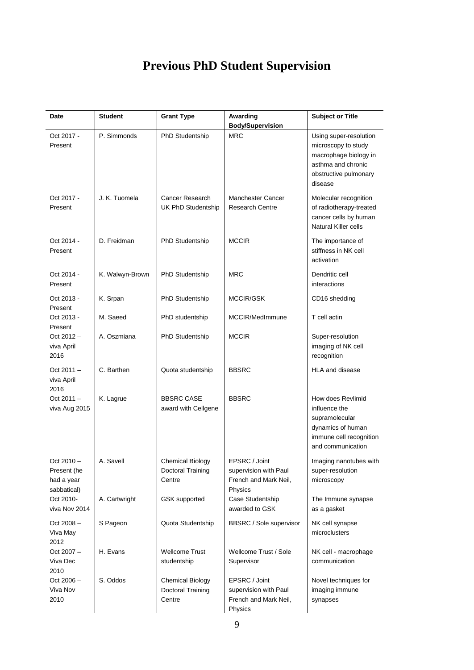# **Previous PhD Student Supervision**

| Date                                                     | <b>Student</b>  | <b>Grant Type</b>                                      | Awarding                                                                   | <b>Subject or Title</b>                                                                                                          |
|----------------------------------------------------------|-----------------|--------------------------------------------------------|----------------------------------------------------------------------------|----------------------------------------------------------------------------------------------------------------------------------|
|                                                          |                 |                                                        | <b>Body/Supervision</b>                                                    |                                                                                                                                  |
| Oct 2017 -<br>Present                                    | P. Simmonds     | PhD Studentship                                        | <b>MRC</b>                                                                 | Using super-resolution<br>microscopy to study<br>macrophage biology in<br>asthma and chronic<br>obstructive pulmonary<br>disease |
| Oct 2017 -<br>Present                                    | J. K. Tuomela   | Cancer Research<br>UK PhD Studentship                  | Manchester Cancer<br><b>Research Centre</b>                                | Molecular recognition<br>of radiotherapy-treated<br>cancer cells by human<br>Natural Killer cells                                |
| Oct 2014 -<br>Present                                    | D. Freidman     | PhD Studentship                                        | <b>MCCIR</b>                                                               | The importance of<br>stiffness in NK cell<br>activation                                                                          |
| Oct 2014 -<br>Present                                    | K. Walwyn-Brown | PhD Studentship                                        | <b>MRC</b>                                                                 | Dendritic cell<br>interactions                                                                                                   |
| Oct 2013 -<br>Present                                    | K. Srpan        | PhD Studentship                                        | MCCIR/GSK                                                                  | CD16 shedding                                                                                                                    |
| Oct 2013 -<br>Present                                    | M. Saeed        | PhD studentship                                        | MCCIR/MedImmune                                                            | T cell actin                                                                                                                     |
| Oct $2012 -$<br>viva April<br>2016                       | A. Oszmiana     | PhD Studentship                                        | <b>MCCIR</b>                                                               | Super-resolution<br>imaging of NK cell<br>recognition                                                                            |
| $Oct 2011 -$<br>viva April<br>2016                       | C. Barthen      | Quota studentship                                      | <b>BBSRC</b>                                                               | <b>HLA and disease</b>                                                                                                           |
| $Oct 2011 -$<br>viva Aug 2015                            | K. Lagrue       | <b>BBSRC CASE</b><br>award with Cellgene               | <b>BBSRC</b>                                                               | How does Revlimid<br>influence the<br>supramolecular<br>dynamics of human<br>immune cell recognition<br>and communication        |
| $Oct 2010 -$<br>Present (he<br>had a year<br>sabbatical) | A. Savell       | Chemical Biology<br>Doctoral Training<br>Centre        | EPSRC / Joint<br>supervision with Paul<br>French and Mark Neil,<br>Physics | Imaging nanotubes with<br>super-resolution<br>microscopy                                                                         |
| Oct 2010-<br>viva Nov 2014                               | A. Cartwright   | GSK supported                                          | Case Studentship<br>awarded to GSK                                         | The Immune synapse<br>as a gasket                                                                                                |
| $Oct 2008 -$<br>Viva May<br>2012                         | S Pageon        | Quota Studentship                                      | BBSRC / Sole supervisor                                                    | NK cell synapse<br>microclusters                                                                                                 |
| $Oct 2007 -$<br>Viva Dec<br>2010                         | H. Evans        | <b>Wellcome Trust</b><br>studentship                   | Wellcome Trust / Sole<br>Supervisor                                        | NK cell - macrophage<br>communication                                                                                            |
| $Oct 2006 -$<br>Viva Nov<br>2010                         | S. Oddos        | <b>Chemical Biology</b><br>Doctoral Training<br>Centre | EPSRC / Joint<br>supervision with Paul<br>French and Mark Neil,<br>Physics | Novel techniques for<br>imaging immune<br>synapses                                                                               |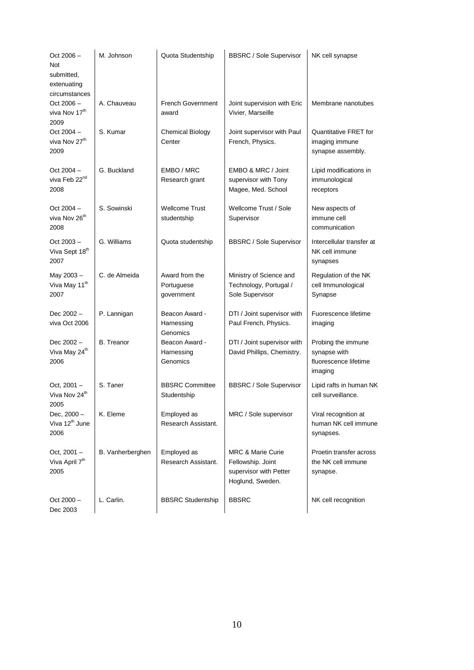| $Oct 2006 -$<br>Not<br>submitted,<br>extenuating<br>circumstances | M. Johnson        | Quota Studentship                          | <b>BBSRC / Sole Supervisor</b>                                                                  | NK cell synapse                                                        |
|-------------------------------------------------------------------|-------------------|--------------------------------------------|-------------------------------------------------------------------------------------------------|------------------------------------------------------------------------|
| $Oct 2006 -$<br>viva Nov 17 <sup>th</sup><br>2009                 | A. Chauveau       | <b>French Government</b><br>award          | Joint supervision with Eric<br>Vivier, Marseille                                                | Membrane nanotubes                                                     |
| Oct $2004 -$<br>viva Nov 27 <sup>th</sup><br>2009                 | S. Kumar          | <b>Chemical Biology</b><br>Center          | Joint supervisor with Paul<br>French, Physics.                                                  | <b>Quantitative FRET for</b><br>imaging immune<br>synapse assembly.    |
| Oct $2004 -$<br>viva Feb 22 <sup>nd</sup><br>2008                 | G. Buckland       | EMBO / MRC<br>Research grant               | EMBO & MRC / Joint<br>supervisor with Tony<br>Magee, Med. School                                | Lipid modifications in<br>immunological<br>receptors                   |
| Oct $2004 -$<br>viva Nov 26 <sup>th</sup><br>2008                 | S. Sowinski       | Wellcome Trust<br>studentship              | Wellcome Trust / Sole<br>Supervisor                                                             | New aspects of<br>immune cell<br>communication                         |
| $Oct 2003 -$<br>Viva Sept 18 <sup>th</sup><br>2007                | G. Williams       | Quota studentship                          | <b>BBSRC / Sole Supervisor</b>                                                                  | Intercellular transfer at<br>NK cell immune<br>synapses                |
| May 2003-<br>Viva May 11 <sup>th</sup><br>2007                    | C. de Almeida     | Award from the<br>Portuguese<br>government | Ministry of Science and<br>Technology, Portugal /<br>Sole Supervisor                            | Regulation of the NK<br>cell Immunological<br>Synapse                  |
| Dec 2002 -<br>viva Oct 2006                                       | P. Lannigan       | Beacon Award -<br>Harnessing<br>Genomics   | DTI / Joint supervisor with<br>Paul French, Physics.                                            | Fuorescence lifetime<br>imaging                                        |
| Dec 2002-<br>Viva May 24 <sup>th</sup><br>2006                    | <b>B.</b> Treanor | Beacon Award -<br>Harnessing<br>Genomics   | DTI / Joint supervisor with<br>David Phillips, Chemistry.                                       | Probing the immune<br>synapse with<br>fluorescence lifetime<br>imaging |
| Oct, $2001 -$<br>Viva Nov 24 <sup>th</sup><br>2005                | S. Taner          | <b>BBSRC Committee</b><br>Studentship      | <b>BBSRC / Sole Supervisor</b>                                                                  | Lipid rafts in human NK<br>cell surveillance.                          |
| Dec, 2000 -<br>Viva 12 <sup>th</sup> June<br>2006                 | K. Eleme          | Employed as<br>Research Assistant.         | MRC / Sole supervisor                                                                           | Viral recognition at<br>human NK cell immune<br>synapses.              |
| Oct, 2001 -<br>Viva April 7 <sup>th</sup><br>2005                 | B. Vanherberghen  | Employed as<br>Research Assistant.         | <b>MRC &amp; Marie Curie</b><br>Fellowship. Joint<br>supervisor with Petter<br>Hoglund, Sweden. | Proetin transfer across<br>the NK cell immune<br>synapse.              |
| $Oct 2000 -$<br>Dec 2003                                          | L. Carlin.        | <b>BBSRC Studentship</b>                   | <b>BBSRC</b>                                                                                    | NK cell recognition                                                    |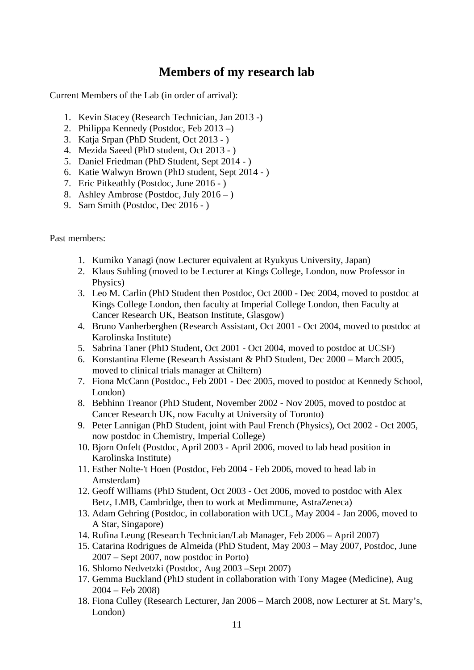# **Members of my research lab**

Current Members of the Lab (in order of arrival):

- 1. Kevin Stacey (Research Technician, Jan 2013 -)
- 2. Philippa Kennedy (Postdoc, Feb 2013 –)
- 3. Katja Srpan (PhD Student, Oct 2013 )
- 4. Mezida Saeed (PhD student, Oct 2013 )
- 5. Daniel Friedman (PhD Student, Sept 2014 )
- 6. Katie Walwyn Brown (PhD student, Sept 2014 )
- 7. Eric Pitkeathly (Postdoc, June 2016 )
- 8. Ashley Ambrose (Postdoc, July 2016 )
- 9. Sam Smith (Postdoc, Dec 2016 )

Past members:

- 1. Kumiko Yanagi (now Lecturer equivalent at Ryukyus University, Japan)
- 2. Klaus Suhling (moved to be Lecturer at Kings College, London, now Professor in Physics)
- 3. Leo M. Carlin (PhD Student then Postdoc, Oct 2000 Dec 2004, moved to postdoc at Kings College London, then faculty at Imperial College London, then Faculty at Cancer Research UK, Beatson Institute, Glasgow)
- 4. Bruno Vanherberghen (Research Assistant, Oct 2001 Oct 2004, moved to postdoc at Karolinska Institute)
- 5. Sabrina Taner (PhD Student, Oct 2001 Oct 2004, moved to postdoc at UCSF)
- 6. Konstantina Eleme (Research Assistant & PhD Student, Dec 2000 March 2005, moved to clinical trials manager at Chiltern)
- 7. Fiona McCann (Postdoc., Feb 2001 Dec 2005, moved to postdoc at Kennedy School, London)
- 8. Bebhinn Treanor (PhD Student, November 2002 Nov 2005, moved to postdoc at Cancer Research UK, now Faculty at University of Toronto)
- 9. Peter Lannigan (PhD Student, joint with Paul French (Physics), Oct 2002 Oct 2005, now postdoc in Chemistry, Imperial College)
- 10. Bjorn Onfelt (Postdoc, April 2003 April 2006, moved to lab head position in Karolinska Institute)
- 11. Esther Nolte-'t Hoen (Postdoc, Feb 2004 Feb 2006, moved to head lab in Amsterdam)
- 12. Geoff Williams (PhD Student, Oct 2003 Oct 2006, moved to postdoc with Alex Betz, LMB, Cambridge, then to work at Medimmune, AstraZeneca)
- 13. Adam Gehring (Postdoc, in collaboration with UCL, May 2004 Jan 2006, moved to A Star, Singapore)
- 14. Rufina Leung (Research Technician/Lab Manager, Feb 2006 April 2007)
- 15. Catarina Rodrigues de Almeida (PhD Student, May 2003 May 2007, Postdoc, June 2007 – Sept 2007, now postdoc in Porto)
- 16. Shlomo Nedvetzki (Postdoc, Aug 2003 –Sept 2007)
- 17. Gemma Buckland (PhD student in collaboration with Tony Magee (Medicine), Aug 2004 – Feb 2008)
- 18. Fiona Culley (Research Lecturer, Jan 2006 March 2008, now Lecturer at St. Mary's, London)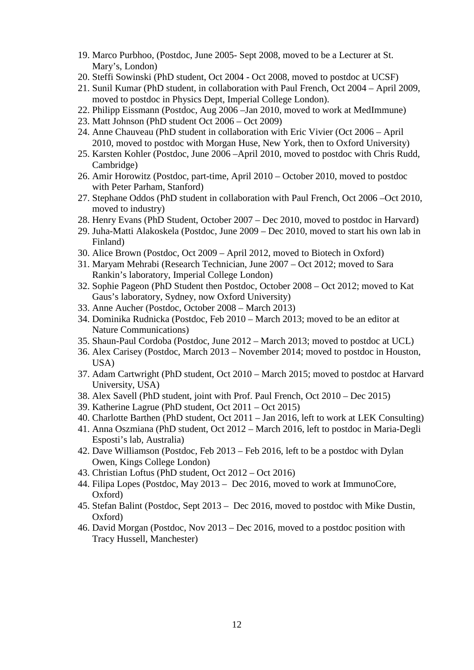- 19. Marco Purbhoo, (Postdoc, June 2005- Sept 2008, moved to be a Lecturer at St. Mary's, London)
- 20. Steffi Sowinski (PhD student, Oct 2004 Oct 2008, moved to postdoc at UCSF)
- 21. Sunil Kumar (PhD student, in collaboration with Paul French, Oct 2004 April 2009, moved to postdoc in Physics Dept, Imperial College London).
- 22. Philipp Eissmann (Postdoc, Aug 2006 –Jan 2010, moved to work at MedImmune)
- 23. Matt Johnson (PhD student Oct 2006 Oct 2009)
- 24. Anne Chauveau (PhD student in collaboration with Eric Vivier (Oct 2006 April 2010, moved to postdoc with Morgan Huse, New York, then to Oxford University)
- 25. Karsten Kohler (Postdoc, June 2006 –April 2010, moved to postdoc with Chris Rudd, Cambridge)
- 26. Amir Horowitz (Postdoc, part-time, April 2010 October 2010, moved to postdoc with Peter Parham, Stanford)
- 27. Stephane Oddos (PhD student in collaboration with Paul French, Oct 2006 –Oct 2010, moved to industry)
- 28. Henry Evans (PhD Student, October 2007 Dec 2010, moved to postdoc in Harvard)
- 29. Juha-Matti Alakoskela (Postdoc, June 2009 Dec 2010, moved to start his own lab in Finland)
- 30. Alice Brown (Postdoc, Oct 2009 April 2012, moved to Biotech in Oxford)
- 31. Maryam Mehrabi (Research Technician, June 2007 Oct 2012; moved to Sara Rankin's laboratory, Imperial College London)
- 32. Sophie Pageon (PhD Student then Postdoc, October 2008 Oct 2012; moved to Kat Gaus's laboratory, Sydney, now Oxford University)
- 33. Anne Aucher (Postdoc, October 2008 March 2013)
- 34. Dominika Rudnicka (Postdoc, Feb 2010 March 2013; moved to be an editor at Nature Communications)
- 35. Shaun-Paul Cordoba (Postdoc, June 2012 March 2013; moved to postdoc at UCL)
- 36. Alex Carisey (Postdoc, March 2013 November 2014; moved to postdoc in Houston, USA)
- 37. Adam Cartwright (PhD student, Oct 2010 March 2015; moved to postdoc at Harvard University, USA)
- 38. Alex Savell (PhD student, joint with Prof. Paul French, Oct 2010 Dec 2015)
- 39. Katherine Lagrue (PhD student, Oct 2011 Oct 2015)
- 40. Charlotte Barthen (PhD student, Oct 2011 Jan 2016, left to work at LEK Consulting)
- 41. Anna Oszmiana (PhD student, Oct 2012 March 2016, left to postdoc in Maria-Degli Esposti's lab, Australia)
- 42. Dave Williamson (Postdoc, Feb 2013 Feb 2016, left to be a postdoc with Dylan Owen, Kings College London)
- 43. Christian Loftus (PhD student, Oct 2012 Oct 2016)
- 44. Filipa Lopes (Postdoc, May 2013 Dec 2016, moved to work at ImmunoCore, Oxford)
- 45. Stefan Balint (Postdoc, Sept 2013 Dec 2016, moved to postdoc with Mike Dustin, Oxford)
- 46. David Morgan (Postdoc, Nov 2013 Dec 2016, moved to a postdoc position with Tracy Hussell, Manchester)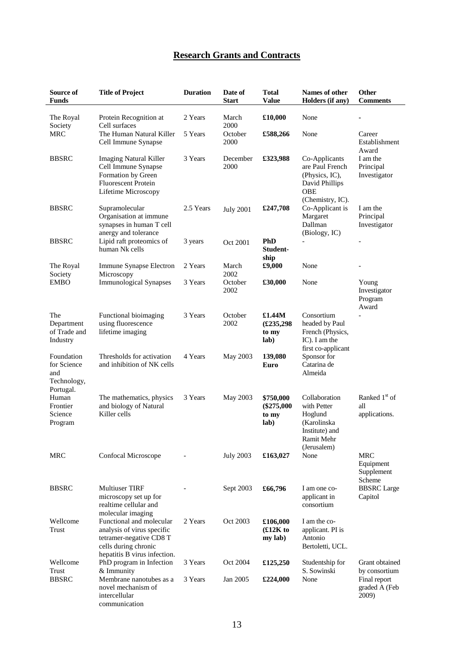# **Research Grants and Contracts**

| Source of<br><b>Funds</b>                            | <b>Title of Project</b>                                                                                                                   | <b>Duration</b> | Date of<br><b>Start</b> | <b>Total</b><br><b>Value</b>               | Names of other<br>Holders (if any)                                                                    | Other<br><b>Comments</b>                          |
|------------------------------------------------------|-------------------------------------------------------------------------------------------------------------------------------------------|-----------------|-------------------------|--------------------------------------------|-------------------------------------------------------------------------------------------------------|---------------------------------------------------|
| The Royal<br>Society                                 | Protein Recognition at<br>Cell surfaces                                                                                                   | 2 Years         | March<br>2000           | £10,000                                    | None                                                                                                  |                                                   |
| <b>MRC</b>                                           | The Human Natural Killer<br>Cell Immune Synapse                                                                                           | 5 Years         | October<br>2000         | £588,266                                   | None                                                                                                  | Career<br>Establishment<br>Award                  |
| <b>BBSRC</b>                                         | <b>Imaging Natural Killer</b><br>Cell Immune Synapse<br>Formation by Green<br><b>Fluorescent Protein</b><br>Lifetime Microscopy           | 3 Years         | December<br>2000        | £323,988                                   | Co-Applicants<br>are Paul French<br>(Physics, IC),<br>David Phillips<br>OBE<br>(Chemistry, IC).       | I am the<br>Principal<br>Investigator             |
| <b>BBSRC</b>                                         | Supramolecular<br>Organisation at immune<br>synapses in human T cell<br>anergy and tolerance                                              | 2.5 Years       | <b>July 2001</b>        | £247,708                                   | Co-Applicant is<br>Margaret<br>Dallman<br>(Biology, IC)                                               | I am the<br>Principal<br>Investigator             |
| <b>BBSRC</b>                                         | Lipid raft proteomics of<br>human Nk cells                                                                                                | 3 years         | Oct 2001                | PhD<br>Student-<br>ship                    |                                                                                                       | $\overline{\phantom{0}}$                          |
| The Royal<br>Society                                 | Immune Synapse Electron<br>Microscopy                                                                                                     | 2 Years         | March<br>2002           | £9,000                                     | None                                                                                                  |                                                   |
| <b>EMBO</b>                                          | <b>Immunological Synapses</b>                                                                                                             | 3 Years         | October<br>2002         | £30,000                                    | None                                                                                                  | Young<br>Investigator<br>Program<br>Award         |
| The<br>Department<br>of Trade and<br>Industry        | Functional bioimaging<br>using fluorescence<br>lifetime imaging                                                                           | 3 Years         | October<br>2002         | £1.44M<br>£235,298<br>to my<br>lab)        | Consortium<br>headed by Paul<br>French (Physics,<br>IC). I am the<br>first co-applicant               |                                                   |
| Foundation<br>for Science<br>and<br>Technology,      | Thresholds for activation<br>and inhibition of NK cells                                                                                   | 4 Years         | May 2003                | 139,080<br>Euro                            | Sponsor for<br>Catarina de<br>Almeida                                                                 |                                                   |
| Portugal.<br>Human<br>Frontier<br>Science<br>Program | The mathematics, physics<br>and biology of Natural<br>Killer cells                                                                        | 3 Years         | May 2003                | \$750,000<br>$(\$275,000$<br>to my<br>lab) | Collaboration<br>with Petter<br>Hoglund<br>(Karolinska<br>Institute) and<br>Ramit Mehr<br>(Jerusalem) | Ranked 1 <sup>st</sup> of<br>all<br>applications. |
| MRC                                                  | Confocal Microscope                                                                                                                       |                 | <b>July 2003</b>        | £163,027                                   | None                                                                                                  | <b>MRC</b><br>Equipment<br>Supplement<br>Scheme   |
| <b>BBSRC</b>                                         | <b>Multiuser TIRF</b><br>microscopy set up for<br>realtime cellular and<br>molecular imaging                                              |                 | Sept 2003               | £66,796                                    | I am one co-<br>applicant in<br>consortium                                                            | <b>BBSRC</b> Large<br>Capitol                     |
| Wellcome<br>Trust                                    | Functional and molecular<br>analysis of virus specific<br>tetramer-negative CD8 T<br>cells during chronic<br>hepatitis B virus infection. | 2 Years         | Oct 2003                | £106,000<br>$£12K$ to<br>my lab)           | I am the co-<br>applicant. PI is<br>Antonio<br>Bertoletti, UCL.                                       |                                                   |
| Wellcome<br>Trust                                    | PhD program in Infection<br>& Immunity                                                                                                    | 3 Years         | Oct 2004                | £125,250                                   | Studentship for<br>S. Sowinski                                                                        | Grant obtained<br>by consortium                   |
| <b>BBSRC</b>                                         | Membrane nanotubes as a<br>novel mechanism of<br>intercellular<br>communication                                                           | 3 Years         | Jan 2005                | £224,000                                   | None                                                                                                  | Final report<br>graded A (Feb<br>2009)            |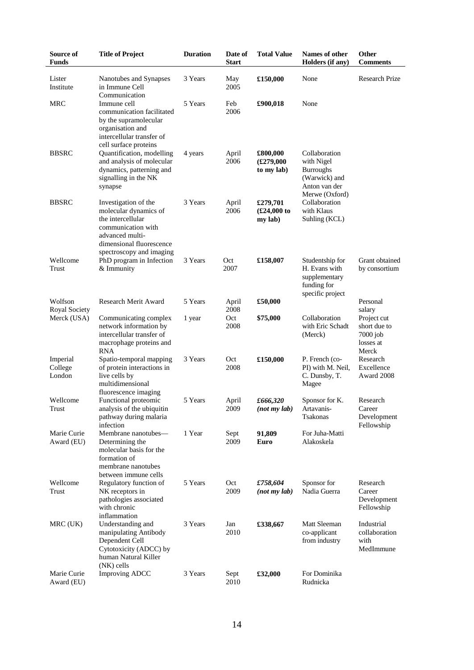| Source of<br><b>Funds</b>     | <b>Title of Project</b>                                                                                                                                      | <b>Duration</b> | Date of<br><b>Start</b> | <b>Total Value</b>                  | Names of other<br>Holders (if any)                                                                  | <b>Other</b><br><b>Comments</b>                                 |
|-------------------------------|--------------------------------------------------------------------------------------------------------------------------------------------------------------|-----------------|-------------------------|-------------------------------------|-----------------------------------------------------------------------------------------------------|-----------------------------------------------------------------|
| Lister<br>Institute           | Nanotubes and Synapses<br>in Immune Cell                                                                                                                     | 3 Years         | May<br>2005             | £150,000                            | None                                                                                                | <b>Research Prize</b>                                           |
| <b>MRC</b>                    | Communication<br>Immune cell<br>communication facilitated<br>by the supramolecular<br>organisation and<br>intercellular transfer of<br>cell surface proteins | 5 Years         | Feb<br>2006             | £900,018                            | None                                                                                                |                                                                 |
| <b>BBSRC</b>                  | Quantification, modelling<br>and analysis of molecular<br>dynamics, patterning and<br>signalling in the NK<br>synapse                                        | 4 years         | April<br>2006           | £800,000<br>£279,000<br>to my lab)  | Collaboration<br>with Nigel<br><b>Burroughs</b><br>(Warwick) and<br>Anton van der<br>Merwe (Oxford) |                                                                 |
| <b>BBSRC</b>                  | Investigation of the<br>molecular dynamics of<br>the intercellular<br>communication with<br>advanced multi-<br>dimensional fluorescence                      | 3 Years         | April<br>2006           | £279,701<br>$£24,000$ to<br>my lab) | Collaboration<br>with Klaus<br>Suhling (KCL)                                                        |                                                                 |
| Wellcome<br>Trust             | spectroscopy and imaging<br>PhD program in Infection<br>& Immunity                                                                                           | 3 Years         | Oct<br>2007             | £158,007                            | Studentship for<br>H. Evans with<br>supplementary<br>funding for<br>specific project                | Grant obtained<br>by consortium                                 |
| Wolfson<br>Royal Society      | Research Merit Award                                                                                                                                         | 5 Years         | April<br>2008           | £50,000                             |                                                                                                     | Personal<br>salary                                              |
| Merck (USA)                   | Communicating complex<br>network information by<br>intercellular transfer of<br>macrophage proteins and<br><b>RNA</b>                                        | 1 year          | Oct<br>2008             | \$75,000                            | Collaboration<br>with Eric Schadt<br>(Merck)                                                        | Project cut<br>short due to<br>$7000$ job<br>losses at<br>Merck |
| Imperial<br>College<br>London | Spatio-temporal mapping<br>of protein interactions in<br>live cells by<br>multidimensional<br>fluorescence imaging                                           | 3 Years         | Oct<br>2008             | £150,000                            | P. French (co-<br>PI) with M. Neil,<br>C. Dunsby, T.<br>Magee                                       | Research<br>Excellence<br>Award 2008                            |
| Wellcome<br>Trust             | Functional proteomic<br>analysis of the ubiquitin<br>pathway during malaria<br>infection                                                                     | 5 Years         | April<br>2009           | £666,320<br>(not my lab)            | Sponsor for K.<br>Artavanis-<br>Tsakonas                                                            | Research<br>Career<br>Development<br>Fellowship                 |
| Marie Curie<br>Award (EU)     | Membrane nanotubes-<br>Determining the<br>molecular basis for the<br>formation of<br>membrane nanotubes<br>between immune cells                              | 1 Year          | Sept<br>2009            | 91,809<br>Euro                      | For Juha-Matti<br>Alakoskela                                                                        |                                                                 |
| Wellcome<br>Trust             | Regulatory function of<br>NK receptors in<br>pathologies associated<br>with chronic<br>inflammation                                                          | 5 Years         | Oct<br>2009             | £758,604<br>(not my lab)            | Sponsor for<br>Nadia Guerra                                                                         | Research<br>Career<br>Development<br>Fellowship                 |
| MRC (UK)                      | Understanding and<br>manipulating Antibody<br>Dependent Cell<br>Cytotoxicity (ADCC) by<br>human Natural Killer<br>(NK) cells                                 | 3 Years         | Jan<br>2010             | £338,667                            | Matt Sleeman<br>co-applicant<br>from industry                                                       | Industrial<br>collaboration<br>with<br>MedImmune                |
| Marie Curie<br>Award (EU)     | <b>Improving ADCC</b>                                                                                                                                        | 3 Years         | Sept<br>2010            | £32,000                             | For Dominika<br>Rudnicka                                                                            |                                                                 |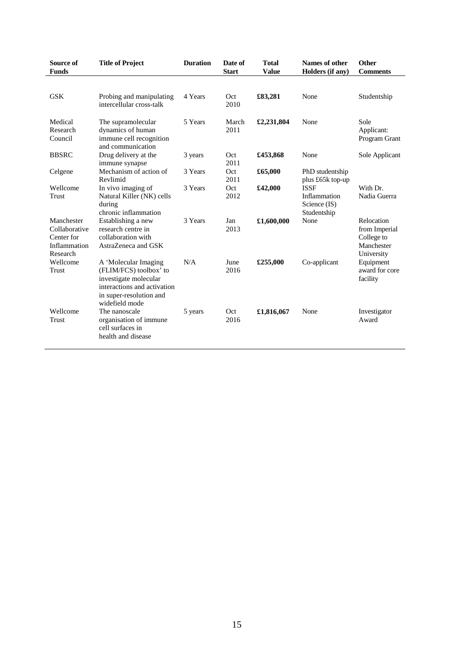| Source of<br><b>Funds</b>                                             | <b>Title of Project</b>                                                                                                                             | <b>Duration</b> | Date of<br><b>Start</b> | <b>Total</b><br><b>Value</b> | Names of other<br>Holders (if any)                         | Other<br><b>Comments</b>                                              |
|-----------------------------------------------------------------------|-----------------------------------------------------------------------------------------------------------------------------------------------------|-----------------|-------------------------|------------------------------|------------------------------------------------------------|-----------------------------------------------------------------------|
|                                                                       |                                                                                                                                                     |                 |                         |                              |                                                            |                                                                       |
| <b>GSK</b>                                                            | Probing and manipulating<br>intercellular cross-talk                                                                                                | 4 Years         | Oct<br>2010             | £83,281                      | None                                                       | Studentship                                                           |
| Medical<br>Research<br>Council                                        | The supramolecular<br>dynamics of human<br>immune cell recognition<br>and communication                                                             | 5 Years         | March<br>2011           | £2,231,804                   | None                                                       | Sole<br>Applicant:<br>Program Grant                                   |
| <b>BBSRC</b>                                                          | Drug delivery at the<br>immune synapse                                                                                                              | 3 years         | Oct<br>2011             | £453,868                     | None                                                       | Sole Applicant                                                        |
| Celgene                                                               | Mechanism of action of<br>Revlimid                                                                                                                  | 3 Years         | Oct<br>2011             | £65,000                      | PhD studentship<br>plus £65k top-up                        |                                                                       |
| Wellcome<br>Trust                                                     | In vivo imaging of<br>Natural Killer (NK) cells<br>during<br>chronic inflammation                                                                   | 3 Years         | Oct<br>2012             | £42,000                      | <b>ISSF</b><br>Inflammation<br>Science (IS)<br>Studentship | With Dr.<br>Nadia Guerra                                              |
| Manchester<br>Collaborative<br>Center for<br>Inflammation<br>Research | Establishing a new<br>research centre in<br>collaboration with<br>AstraZeneca and GSK                                                               | 3 Years         | Jan<br>2013             | £1,600,000                   | None                                                       | Relocation<br>from Imperial<br>College to<br>Manchester<br>University |
| Wellcome<br>Trust                                                     | A 'Molecular Imaging<br>(FLIM/FCS) toolbox' to<br>investigate molecular<br>interactions and activation<br>in super-resolution and<br>widefield mode | N/A             | June<br>2016            | £255,000                     | Co-applicant                                               | Equipment<br>award for core<br>facility                               |
| Wellcome<br>Trust                                                     | The nanoscale<br>organisation of immune<br>cell surfaces in<br>health and disease                                                                   | 5 years         | Oct<br>2016             | £1,816,067                   | None                                                       | Investigator<br>Award                                                 |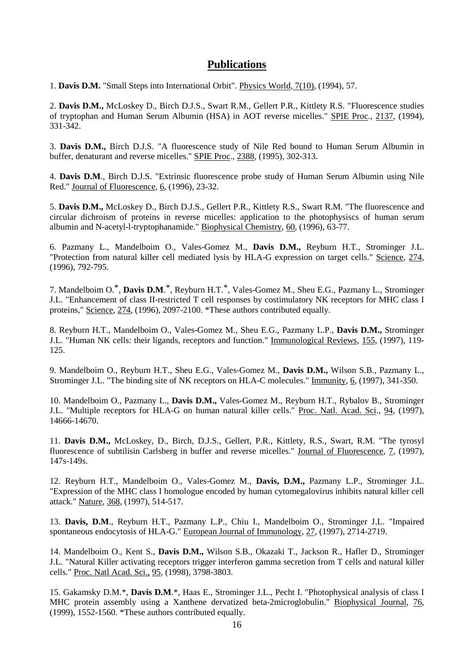## **Publications**

1. **Davis D.M.** "Small Steps into International Orbit". Physics World, 7(10), (1994), 57.

2. **Davis D.M.,** McLoskey D., Birch D.J.S., Swart R.M., Gellert P.R., Kittlety R.S. "Fluorescence studies of tryptophan and Human Serum Albumin (HSA) in AOT reverse micelles." SPIE Proc., 2137, (1994), 331-342.

3. **Davis D.M.,** Birch D.J.S. "A fluorescence study of Nile Red bound to Human Serum Albumin in buffer, denaturant and reverse micelles." SPIE Proc., 2388, (1995), 302-313.

4. **Davis D.M**., Birch D.J.S. "Extrinsic fluorescence probe study of Human Serum Albumin using Nile Red." Journal of Fluorescence, 6, (1996), 23-32.

5. **Davis D.M.,** McLoskey D., Birch D.J.S., Gellert P.R., Kittlety R.S., Swart R.M. "The fluorescence and circular dichroism of proteins in reverse micelles: application to the photophysiscs of human serum albumin and N-acetyl-l-tryptophanamide." Biophysical Chemistry, 60, (1996), 63-77.

6. Pazmany L., Mandelboim O., Vales-Gomez M., **Davis D.M.,** Reyburn H.T., Strominger J.L. "Protection from natural killer cell mediated lysis by HLA-G expression on target cells." Science, 274, (1996), 792-795.

7. Mandelboim O.\*, **Davis D.M**. \*, Reyburn H.T.\*, Vales-Gomez M., Sheu E.G., Pazmany L., Strominger J.L. "Enhancement of class II-restricted T cell responses by costimulatory NK receptors for MHC class I proteins," Science, 274, (1996), 2097-2100. \*These authors contributed equally.

8. Reyburn H.T., Mandelboim O., Vales-Gomez M., Sheu E.G., Pazmany L.P., **Davis D.M.,** Strominger J.L. "Human NK cells: their ligands, receptors and function." Immunological Reviews, 155, (1997), 119- 125.

9. Mandelboim O., Reyburn H.T., Sheu E.G., Vales-Gomez M., **Davis D.M.,** Wilson S.B., Pazmany L., Strominger J.L. "The binding site of NK receptors on HLA-C molecules." Immunity, 6, (1997), 341-350.

10. Mandelboim O., Pazmany L., **Davis D.M.,** Vales-Gomez M., Reyburn H.T., Rybalov B., Strominger J.L. "Multiple receptors for HLA-G on human natural killer cells." Proc. Natl. Acad. Sci., 94, (1997), 14666-14670.

11. **Davis D.M.,** McLoskey, D., Birch, D.J.S., Gellert, P.R., Kittlety, R.S., Swart, R.M. "The tyrosyl fluorescence of subtilisin Carlsberg in buffer and reverse micelles." Journal of Fluorescence, 7, (1997), 147s-149s.

12. Reyburn H.T., Mandelboim O., Vales-Gomez M., **Davis, D.M.,** Pazmany L.P., Strominger J.L. "Expression of the MHC class I homologue encoded by human cytomegalovirus inhibits natural killer cell attack." Nature, 368, (1997), 514-517.

13. **Davis, D.M**., Reyburn H.T., Pazmany L.P., Chiu I., Mandelboim O., Strominger J.L. "Impaired spontaneous endocytosis of HLA-G." European Journal of Immunology, 27, (1997), 2714-2719.

14. Mandelboim O., Kent S., **Davis D.M.,** Wilson S.B., Okazaki T., Jackson R., Hafler D., Strominger J.L. "Natural Killer activating receptors trigger interferon gamma secretion from T cells and natural killer cells." Proc. Natl Acad. Sci., 95, (1998), 3798-3803.

15. Gakamsky D.M.\*, **Davis D.M**.\*, Haas E., Strominger J.L., Pecht I. "Photophysical analysis of class I MHC protein assembly using a Xanthene dervatized beta-2microglobulin." Biophysical Journal, 76, (1999), 1552-1560. \*These authors contributed equally.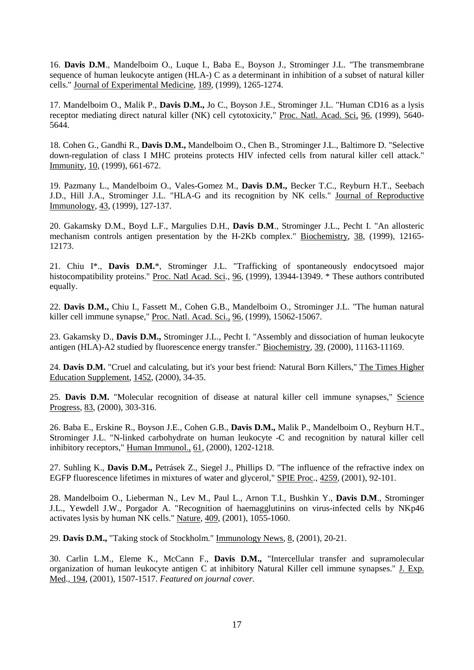16. **Davis D.M**., Mandelboim O., Luque I., Baba E., Boyson J., Strominger J.L. "The transmembrane sequence of human leukocyte antigen (HLA-) C as a determinant in inhibition of a subset of natural killer cells." Journal of Experimental Medicine, 189, (1999), 1265-1274.

17. Mandelboim O., Malik P., **Davis D.M.,** Jo C., Boyson J.E., Strominger J.L. "Human CD16 as a lysis receptor mediating direct natural killer (NK) cell cytotoxicity," Proc. Natl. Acad. Sci, 96, (1999), 5640-5644.

18. Cohen G., Gandhi R., **Davis D.M.,** Mandelboim O., Chen B., Strominger J.L., Baltimore D. "Selective down-regulation of class I MHC proteins protects HIV infected cells from natural killer cell attack." Immunity, 10, (1999), 661-672.

19. Pazmany L., Mandelboim O., Vales-Gomez M., **Davis D.M.,** Becker T.C., Reyburn H.T., Seebach J.D., Hill J.A., Strominger J.L. "HLA-G and its recognition by NK cells." Journal of Reproductive Immunology, 43, (1999), 127-137.

20. Gakamsky D.M., Boyd L.F., Margulies D.H., **Davis D.M**., Strominger J.L., Pecht I. "An allosteric mechanism controls antigen presentation by the H-2Kb complex." Biochemistry, 38, (1999), 12165- 12173.

21. Chiu I\*., **Davis D.M.**\*, Strominger J.L. "Trafficking of spontaneously endocytsoed major histocompatibility proteins." Proc. Natl Acad. Sci., 96, (1999), 13944-13949. \* These authors contributed equally.

22. **Davis D.M.,** Chiu I., Fassett M., Cohen G.B., Mandelboim O., Strominger J.L. "The human natural killer cell immune synapse," Proc. Natl. Acad. Sci., 96, (1999), 15062-15067.

23. Gakamsky D., **Davis D.M.,** Strominger J.L., Pecht I. "Assembly and dissociation of human leukocyte antigen (HLA)-A2 studied by fluorescence energy transfer." Biochemistry, 39, (2000), 11163-11169.

24. **Davis D.M.** "Cruel and calculating, but it's your best friend: Natural Born Killers," The Times Higher Education Supplement, 1452, (2000), 34-35.

25. **Davis D.M.** "Molecular recognition of disease at natural killer cell immune synapses," Science Progress, 83, (2000), 303-316.

26. Baba E., Erskine R., Boyson J.E., Cohen G.B., **Davis D.M.,** Malik P., Mandelboim O., Reyburn H.T., Strominger J.L. "N-linked carbohydrate on human leukocyte -C and recognition by natural killer cell inhibitory receptors," Human Immunol., 61, (2000), 1202-1218.

27. Suhling K., **Davis D.M.,** Petrásek Z., Siegel J., Phillips D. "The influence of the refractive index on EGFP fluorescence lifetimes in mixtures of water and glycerol," SPIE Proc., 4259, (2001), 92-101.

28. Mandelboim O., Lieberman N., Lev M., Paul L., Arnon T.I., Bushkin Y., **Davis D.M**., Strominger J.L., Yewdell J.W., Porgador A. "Recognition of haemagglutinins on virus-infected cells by NKp46 activates lysis by human NK cells." Nature, 409, (2001), 1055-1060.

29. **Davis D.M.,** "Taking stock of Stockholm." Immunology News, 8, (2001), 20-21.

30. Carlin L.M., Eleme K., McCann F., **Davis D.M.,** "Intercellular transfer and supramolecular organization of human leukocyte antigen C at inhibitory Natural Killer cell immune synapses." J. Exp. Med., 194, (2001), 1507-1517. *Featured on journal cover.*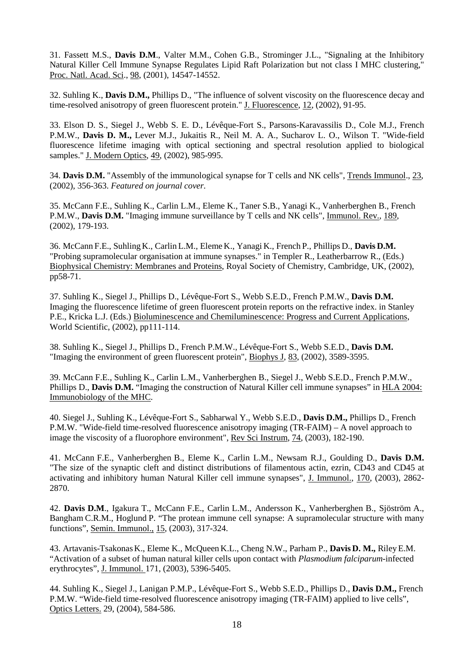31. Fassett M.S., **Davis D.M**., Valter M.M., Cohen G.B., Strominger J.L., "Signaling at the Inhibitory Natural Killer Cell Immune Synapse Regulates Lipid Raft Polarization but not class I MHC clustering," Proc. Natl. Acad. Sci., 98, (2001), 14547-14552.

32. Suhling K., **Davis D.M.,** Phillips D., "The influence of solvent viscosity on the fluorescence decay and time-resolved anisotropy of green fluorescent protein." J. Fluorescence, 12, (2002), 91-95.

33. Elson D. S., Siegel J., Webb S. E. D., Lévêque-Fort S., Parsons-Karavassilis D., Cole M.J., French P.M.W., **Davis D. M.,** Lever M.J., Jukaitis R., Neil M. A. A., Sucharov L. O., Wilson T. "Wide-field fluorescence lifetime imaging with optical sectioning and spectral resolution applied to biological samples." J. Modern Optics, 49, (2002), 985-995.

34. **Davis D.M.** "Assembly of the immunological synapse for T cells and NK cells", Trends Immunol., 23, (2002), 356-363. *Featured on journal cover.*

35. McCann F.E., Suhling K., Carlin L.M., Eleme K., Taner S.B., Yanagi K., Vanherberghen B., French P.M.W., **Davis D.M.** "Imaging immune surveillance by T cells and NK cells", Immunol. Rev., 189, (2002), 179-193.

36. McCann F.E., SuhlingK., Carlin L.M., Eleme K., Yanagi K., French P., Phillips D., **Davis D.M.** "Probing supramolecular organisation at immune synapses." in Templer R., Leatherbarrow R., (Eds.) Biophysical Chemistry: Membranes and Proteins, Royal Society of Chemistry, Cambridge, UK, (2002), pp58-71.

37. Suhling K., Siegel J., Phillips D., Lévêque-Fort S., Webb S.E.D., French P.M.W., **Davis D.M.** Imaging the fluorescence lifetime of green fluorescent protein reports on the refractive index. in Stanley P.E., Kricka L.J. (Eds.) Bioluminescence and Chemiluminescence: Progress and Current Applications, World Scientific, (2002), pp111-114.

38. Suhling K., Siegel J., Phillips D., French P.M.W., Lévêque-Fort S., Webb S.E.D., **Davis D.M.** "Imaging the environment of green fluorescent protein", Biophys J, 83, (2002), 3589-3595.

39. McCann F.E., Suhling K., Carlin L.M., Vanherberghen B., Siegel J., Webb S.E.D., French P.M.W., Phillips D., **Davis D.M.** "Imaging the construction of Natural Killer cell immune synapses" in HLA 2004: Immunobiology of the MHC.

40. Siegel J., Suhling K., Lévêque-Fort S., Sabharwal Y., Webb S.E.D., **Davis D.M.,** Phillips D., French P.M.W. "Wide-field time-resolved fluorescence anisotropy imaging (TR-FAIM) – A novel approach to image the viscosity of a fluorophore environment", Rev Sci Instrum, 74, (2003), 182-190.

41. McCann F.E., Vanherberghen B., Eleme K., Carlin L.M., Newsam R.J., Goulding D., **Davis D.M.** "The size of the synaptic cleft and distinct distributions of filamentous actin, ezrin, CD43 and CD45 at activating and inhibitory human Natural Killer cell immune synapses", J. Immunol., 170, (2003), 2862- 2870.

42. **Davis D.M**., Igakura T., McCann F.E., Carlin L.M., Andersson K., Vanherberghen B., Sjöström A., Bangham C.R.M., Hoglund P. "The protean immune cell synapse: A supramolecular structure with many functions", Semin. Immunol., 15, (2003), 317-324.

43. Artavanis-TsakonasK., Eleme K., McQueen K.L., Cheng N.W., Parham P., **Davis D. M.,** RileyE.M. "Activation of a subset of human natural killer cells upon contact with *Plasmodium falciparum-*infected erythrocytes", J. Immunol. 171, (2003), 5396-5405.

44. Suhling K., Siegel J., Lanigan P.M.P., Lévêque-Fort S., Webb S.E.D., Phillips D., **Davis D.M.,** French P.M.W. "Wide-field time-resolved fluorescence anisotropy imaging (TR-FAIM) applied to live cells", Optics Letters. 29, (2004), 584-586.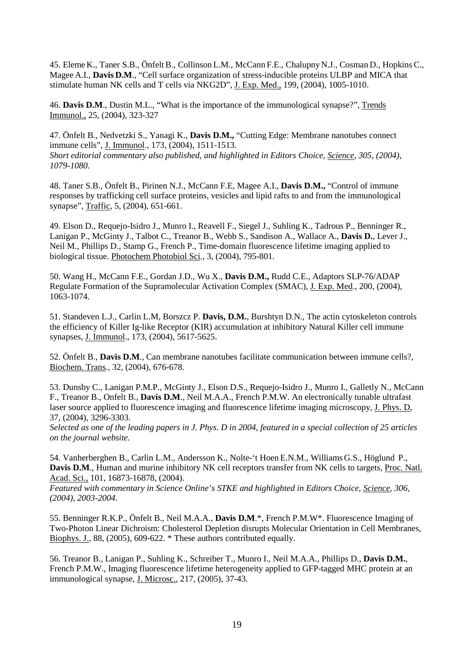45. Eleme K., Taner S.B., Önfelt B., Collinson L.M., McCann F.E., Chalupny N.J., Cosman D., HopkinsC., Magee A.I., **Davis D.M**., "Cell surface organization of stress-inducible proteins ULBP and MICA that stimulate human NK cells and T cells via NKG2D", J. Exp. Med., 199, (2004), 1005-1010.

46. **Davis D.M**., Dustin M.L., "What is the importance of the immunological synapse?", Trends Immunol., 25, (2004), 323-327

47. Önfelt B., Nedvetzki S., Yanagi K., **Davis D.M.,** "Cutting Edge: Membrane nanotubes connect immune cells", J. Immunol., 173, (2004), 1511-1513. *Short editorial commentary also published, and highlighted in Editors Choice, Science, 305, (2004), 1079-1080.*

48. Taner S.B., Önfelt B., Pirinen N.J., McCann F.E, Magee A.I., **Davis D.M.,** "Control of immune responses by trafficking cell surface proteins, vesicles and lipid rafts to and from the immunological synapse", Traffic, 5, (2004), 651-661.

49. Elson D., Requejo-Isidro J., Munro I., Reavell F., Siegel J., Suhling K., Tadrous P., Benninger R., Lanigan P., McGinty J., Talbot C., Treanor B., Webb S., Sandison A., Wallace A., **Davis D.**, Lever J., Neil M., Phillips D., Stamp G., French P., Time-domain fluorescence lifetime imaging applied to biological tissue. Photochem Photobiol Sci., 3, (2004), 795-801.

50. Wang H., McCann F.E., Gordan J.D., Wu X., **Davis D.M.,** Rudd C.E., Adaptors SLP-76/ADAP Regulate Formation of the Supramolecular Activation Complex (SMAC), J. Exp. Med., 200, (2004), 1063-1074.

51. Standeven L.J., Carlin L.M, Borszcz P. **Davis, D.M.**, Burshtyn D.N., The actin cytoskeleton controls the efficiency of Killer Ig-like Receptor (KIR) accumulation at inhibitory Natural Killer cell immune synapses, J. Immunol., 173, (2004), 5617-5625.

52. Önfelt B., **Davis D.M**., Can membrane nanotubes facilitate communication between immune cells?, Biochem. Trans., 32, (2004), 676-678.

53. Dunsby C., Lanigan P.M.P., McGinty J., Elson D.S., Requejo-Isidro J., Munro I., Galletly N., McCann F., Treanor B., Onfelt B., **Davis D.M**., Neil M.A.A., French P.M.W. An electronically tunable ultrafast laser source applied to fluorescence imaging and fluorescence lifetime imaging microscopy, J. Phys. D, 37, (2004), 3296-3303.

*Selected as one of the leading papers in J. Phys. D in 2004, featured in a special collection of 25 articles on the journal website.*

54. Vanherberghen B., Carlin L.M., Andersson K., Nolte-'t Hoen E.N.M., Williams G.S., Höglund P., **Davis D.M**., Human and murine inhibitory NK cell receptors transfer from NK cells to targets, Proc. Natl. Acad. Sci., 101, 16873-16878, (2004).

*Featured with commentary in Science Online's STKE and highlighted in Editors Choice, Science, 306, (2004), 2003-2004.*

55. Benninger R.K.P., Önfelt B., Neil M.A.A., **Davis D.M**.\*, French P.M.W\*. Fluorescence Imaging of Two-Photon Linear Dichroism: Cholesterol Depletion disrupts Molecular Orientation in Cell Membranes, Biophys. J., 88, (2005), 609-622. \* These authors contributed equally.

56. Treanor B., Lanigan P., Suhling K., Schreiber T., Munro I., Neil M.A.A., Phillips D., **Davis D.M.**, French P.M.W., Imaging fluorescence lifetime heterogeneity applied to GFP-tagged MHC protein at an immunological synapse, J. Microsc., 217, (2005), 37-43.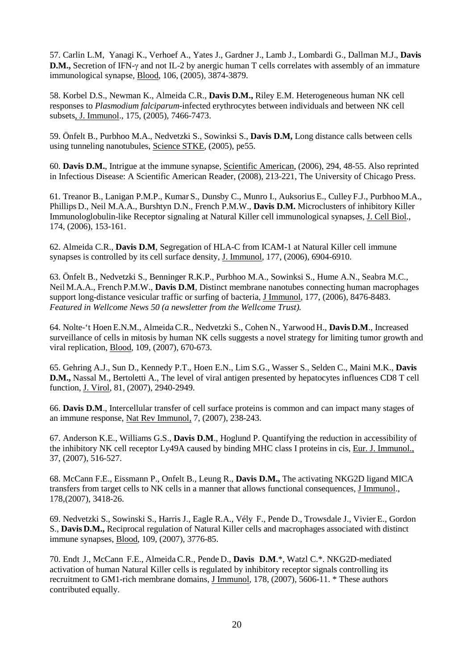57. Carlin L.M, Yanagi K., Verhoef A., Yates J., Gardner J., Lamb J., Lombardi G., Dallman M.J., **Davis D.M.,** Secretion of IFN-γ and not IL-2 by anergic human T cells correlates with assembly of an immature immunological synapse, Blood, 106, (2005), 3874-3879.

58. Korbel D.S., Newman K., Almeida C.R., **Davis D.M.,** Riley E.M. Heterogeneous human NK cell responses to *Plasmodium falciparum-*infected erythrocytes between individuals and between NK cell subsets, J. Immunol., 175, (2005), 7466-7473.

59. Önfelt B., Purbhoo M.A., Nedvetzki S., Sowinksi S., **Davis D.M,** Long distance calls between cells using tunneling nanotubules, Science STKE, (2005), pe55.

60. **Davis D.M.**, Intrigue at the immune synapse, Scientific American, (2006), 294, 48-55. Also reprinted in Infectious Disease: A Scientific American Reader, (2008), 213-221, The University of Chicago Press.

61. Treanor B., Lanigan P.M.P., Kumar S., Dunsby C., Munro I., Auksorius E., Culley F.J., Purbhoo M.A., Phillips D., Neil M.A.A., Burshtyn D.N., French P.M.W., **Davis D.M.** Microclusters of inhibitory Killer Immunologlobulin-like Receptor signaling at Natural Killer cell immunological synapses, J. Cell Biol., 174, (2006), 153-161.

62. Almeida C.R., **Davis D.M**, Segregation of HLA-C from ICAM-1 at Natural Killer cell immune synapses is controlled by its cell surface density, J. Immunol, 177, (2006), 6904-6910.

63. Önfelt B., Nedvetzki S., Benninger R.K.P., Purbhoo M.A., Sowinksi S., Hume A.N., Seabra M.C., Neil M.A.A., French P.M.W., **Davis D.M**, Distinct membrane nanotubes connecting human macrophages support long-distance vesicular traffic or surfing of bacteria, J Immunol, 177, (2006), 8476-8483. *Featured in Wellcome News 50 (a newsletter from the Wellcome Trust).*

64. Nolte-'t Hoen E.N.M., AlmeidaC.R., Nedvetzki S., Cohen N., Yarwood H., **Davis D.M**., Increased surveillance of cells in mitosis by human NK cells suggests a novel strategy for limiting tumor growth and viral replication, Blood, 109, (2007), 670-673.

65. Gehring A.J., Sun D., Kennedy P.T., Hoen E.N., Lim S.G., Wasser S., Selden C., Maini M.K., **Davis D.M.,** Nassal M., Bertoletti A., The level of viral antigen presented by hepatocytes influences CD8 T cell function, J. Virol, 81, (2007), 2940-2949.

66. **Davis D.M**., Intercellular transfer of cell surface proteins is common and can impact many stages of an immune response, Nat Rev Immunol, 7, (2007), 238-243.

67. Anderson K.E., Williams G.S., **Davis D.M**., Hoglund P. Quantifying the reduction in accessibility of the inhibitory NK cell receptor Ly49A caused by binding MHC class I proteins in cis, Eur. J. Immunol., 37, (2007), 516-527.

68. McCann F.E., Eissmann P., Onfelt B., Leung R., **Davis D.M.,** The activating NKG2D ligand MICA transfers from target cells to NK cells in a manner that allows functional consequences, J Immunol., 178,(2007), 3418-26.

69. Nedvetzki S., Sowinski S., Harris J., Eagle R.A., Vély F., Pende D., Trowsdale J., Vivier E., Gordon S., **Davis D.M.,** Reciprocal regulation of Natural Killer cells and macrophages associated with distinct immune synapses, Blood, 109, (2007), 3776-85.

70. Endt J., McCann F.E., AlmeidaC.R., Pende D., **Davis D.M**.\*, Watzl C.\*. NKG2D-mediated activation of human Natural Killer cells is regulated by inhibitory receptor signals controlling its recruitment to GM1-rich membrane domains, J Immunol, 178, (2007), 5606-11. \* These authors contributed equally.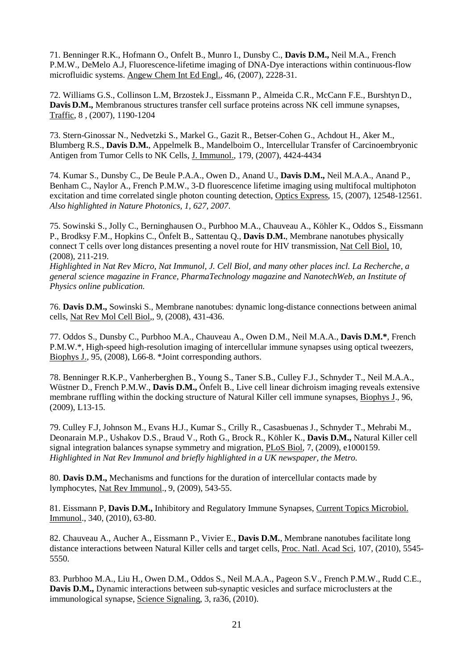71. Benninger R.K., Hofmann O., Onfelt B., Munro I., Dunsby C., **Davis D.M.,** Neil M.A., French P.M.W., DeMelo A.J, Fluorescence-lifetime imaging of DNA-Dye interactions within continuous-flow microfluidic systems. Angew Chem Int Ed Engl., 46, (2007), 2228-31.

72. Williams G.S., Collinson L.M, Brzostek J., Eissmann P., Almeida C.R., McCann F.E., Burshtyn D., **Davis D.M.,** Membranous structures transfer cell surface proteins across NK cell immune synapses, Traffic, 8 , (2007), 1190-1204

73. Stern-Ginossar N., Nedvetzki S., Markel G., Gazit R., Betser-Cohen G., Achdout H., Aker M., Blumberg R.S., **Davis D.M.**, Appelmelk B., Mandelboim O., Intercellular Transfer of Carcinoembryonic Antigen from Tumor Cells to NK Cells, J. Immunol., 179, (2007), 4424-4434

74. Kumar S., Dunsby C., De Beule P.A.A., Owen D., Anand U., **Davis D.M.,** Neil M.A.A., Anand P., Benham C., Naylor A., French P.M.W., 3-D fluorescence lifetime imaging using multifocal multiphoton excitation and time correlated single photon counting detection, Optics Express, 15, (2007), 12548-12561. *Also highlighted in Nature Photonics, 1, 627, 2007*.

75. Sowinski S., Jolly C., Berninghausen O., Purbhoo M.A., Chauveau A., Köhler K., Oddos S., Eissmann P., Brodksy F.M., Hopkins C., Önfelt B., Sattentau Q., **Davis D.M.**, Membrane nanotubes physically connect T cells over long distances presenting a novel route for HIV transmission, Nat Cell Biol, 10, (2008), 211-219.

*Highlighted in Nat Rev Micro, Nat Immunol, J. Cell Biol, and many other places incl. La Recherche, a general science magazine in France, PharmaTechnology magazine and NanotechWeb, an Institute of Physics online publication.*

76. **Davis D.M.,** Sowinski S., Membrane nanotubes: dynamic long-distance connections between animal cells, Nat Rev Mol Cell Biol,, 9, (2008), 431-436.

77. Oddos S., Dunsby C., Purbhoo M.A., Chauveau A., Owen D.M., Neil M.A.A., **Davis D.M.\***, French P.M.W.\*, High-speed high-resolution imaging of intercellular immune synapses using optical tweezers, Biophys J., 95, (2008), L66-8. \*Joint corresponding authors.

78. Benninger R.K.P., Vanherberghen B., Young S., Taner S.B., Culley F.J., Schnyder T., Neil M.A.A., Wüstner D., French P.M.W., **Davis D.M.,** Önfelt B., Live cell linear dichroism imaging reveals extensive membrane ruffling within the docking structure of Natural Killer cell immune synapses, Biophys J., 96, (2009), L13-15.

79. Culley F.J, Johnson M., Evans H.J., Kumar S., Crilly R., Casasbuenas J., Schnyder T., Mehrabi M., Deonarain M.P., Ushakov D.S., Braud V., Roth G., Brock R., Köhler K., **Davis D.M.,** Natural Killer cell signal integration balances synapse symmetry and migration, PLoS Biol, 7, (2009), e1000159. *Highlighted in Nat Rev Immunol and briefly highlighted in a UK newspaper, the Metro.*

80. **Davis D.M.,** Mechanisms and functions for the duration of intercellular contacts made by lymphocytes, Nat Rev Immunol., 9, (2009), 543-55.

81. Eissmann P, **Davis D.M.,** Inhibitory and Regulatory Immune Synapses, Current Topics Microbiol. Immunol., 340, (2010), 63-80.

82. Chauveau A., Aucher A., Eissmann P., Vivier E., **Davis D.M.**, Membrane nanotubes facilitate long distance interactions between Natural Killer cells and target cells, Proc. Natl. Acad Sci, 107, (2010), 5545- 5550.

83. Purbhoo M.A., Liu H., Owen D.M., Oddos S., Neil M.A.A., Pageon S.V., French P.M.W., Rudd C.E., **Davis D.M.,** Dynamic interactions between sub-synaptic vesicles and surface microclusters at the immunological synapse, Science Signaling, 3, ra36, (2010).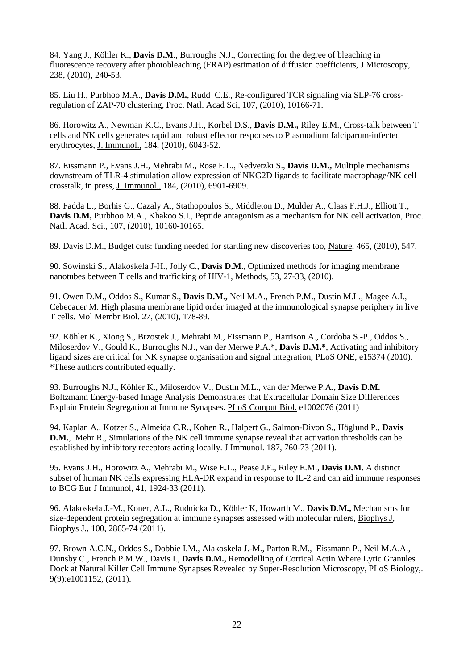84. Yang J., Köhler K., **Davis D.M**., Burroughs N.J., Correcting for the degree of bleaching in fluorescence recovery after photobleaching (FRAP) estimation of diffusion coefficients, J Microscopy, 238, (2010), 240-53.

85. Liu H., Purbhoo M.A., **Davis D.M.**, Rudd C.E., Re-configured TCR signaling via SLP-76 crossregulation of ZAP-70 clustering, Proc. Natl. Acad Sci, 107, (2010), 10166-71.

86. Horowitz A., Newman K.C., Evans J.H., Korbel D.S., **Davis D.M.,** Riley E.M., Cross-talk between T cells and NK cells generates rapid and robust effector responses to Plasmodium falciparum-infected erythrocytes, J. Immunol., 184, (2010), 6043-52.

87. Eissmann P., Evans J.H., Mehrabi M., Rose E.L., Nedvetzki S., **Davis D.M.,** Multiple mechanisms downstream of TLR-4 stimulation allow expression of NKG2D ligands to facilitate macrophage/NK cell crosstalk, in press, J. Immunol., 184, (2010), 6901-6909.

88. Fadda L., Borhis G., Cazaly A., Stathopoulos S., Middleton D., Mulder A., Claas F.H.J., Elliott T., **Davis D.M,** Purbhoo M.A., Khakoo S.I., Peptide antagonism as a mechanism for NK cell activation, Proc. Natl. Acad. Sci., 107, (2010), 10160-10165.

89. Davis D.M., Budget cuts: funding needed for startling new discoveries too, Nature, 465, (2010), 547.

90. Sowinski S., Alakoskela J-H., Jolly C., **Davis D.M**., Optimized methods for imaging membrane nanotubes between T cells and trafficking of HIV-1, Methods, 53, 27-33, (2010).

91. Owen D.M., Oddos S., Kumar S., **Davis D.M.,** Neil M.A., French P.M., Dustin M.L., Magee A.I., Cebecauer M. High plasma membrane lipid order imaged at the immunological synapse periphery in live T cells. Mol Membr Biol. 27, (2010), 178-89.

92. Köhler K., Xiong S., Brzostek J., Mehrabi M., Eissmann P., Harrison A., Cordoba S.-P., Oddos S., Miloserdov V., Gould K., Burroughs N.J., van der Merwe P.A.\*, **Davis D.M.\***, Activating and inhibitory ligand sizes are critical for NK synapse organisation and signal integration, PLoS ONE, e15374 (2010). \*These authors contributed equally.

93. Burroughs N.J., Köhler K., Miloserdov V., Dustin M.L., van der Merwe P.A., **Davis D.M.** Boltzmann Energy-based Image Analysis Demonstrates that Extracellular Domain Size Differences Explain Protein Segregation at Immune Synapses. PLoS Comput Biol. e1002076 (2011)

94. Kaplan A., Kotzer S., Almeida C.R., Kohen R., Halpert G., Salmon-Divon S., Höglund P., **Davis D.M.**, Mehr R., Simulations of the NK cell immune synapse reveal that activation thresholds can be established by inhibitory receptors acting locally. J Immunol. 187, 760-73 (2011).

95. Evans J.H., Horowitz A., Mehrabi M., Wise E.L., Pease J.E., Riley E.M., **Davis D.M.** A distinct subset of human NK cells expressing HLA-DR expand in response to IL-2 and can aid immune responses to BCG Eur J Immunol, 41, 1924-33 (2011).

96. Alakoskela J.-M., Koner, A.L., Rudnicka D., Köhler K, Howarth M., **Davis D.M.,** Mechanisms for size-dependent protein segregation at immune synapses assessed with molecular rulers, Biophys J, Biophys J., 100, 2865-74 (2011).

97. Brown A.C.N., Oddos S., Dobbie I.M., Alakoskela J.-M., Parton R.M., Eissmann P., Neil M.A.A., Dunsby C., French P.M.W., Davis I., **Davis D.M.,** Remodelling of Cortical Actin Where Lytic Granules Dock at Natural Killer Cell Immune Synapses Revealed by Super-Resolution Microscopy, PLoS Biology,. 9(9):e1001152, (2011).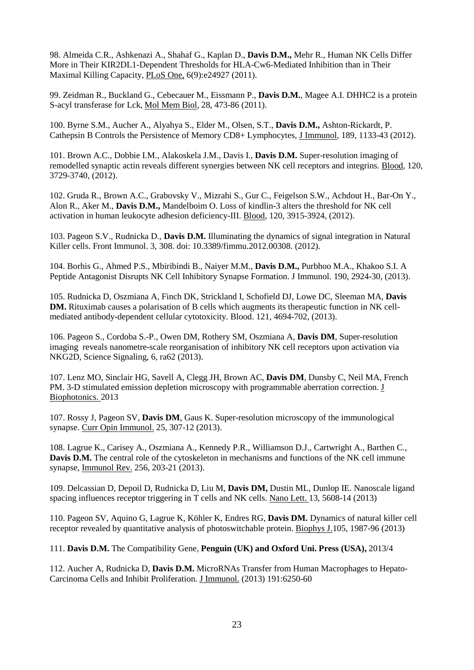98. Almeida C.R., Ashkenazi A., Shahaf G., Kaplan D., **Davis D.M.,** Mehr R., Human NK Cells Differ More in Their KIR2DL1-Dependent Thresholds for HLA-Cw6-Mediated Inhibition than in Their Maximal Killing Capacity, PLoS One, 6(9):e24927 (2011).

99. Zeidman R., Buckland G., Cebecauer M., Eissmann P., **Davis D.M.**, Magee A.I. DHHC2 is a protein S-acyl transferase for Lck, Mol Mem Biol, 28, 473-86 (2011).

100. Byrne S.M., Aucher A., Alyahya S., Elder M., Olsen, S.T., **Davis D.M.,** Ashton-Rickardt, P. Cathepsin B Controls the Persistence of Memory CD8+ Lymphocytes, J Immunol, 189, 1133-43 (2012).

101. Brown A.C., Dobbie I.M., Alakoskela J.M., Davis I., **Davis D.M.** Super-resolution imaging of remodelled synaptic actin reveals different synergies between NK cell receptors and integrins. Blood, 120, 3729-3740, (2012).

102. Gruda R., Brown A.C., Grabovsky V., Mizrahi S., Gur C., Feigelson S.W., Achdout H., Bar-On Y., Alon R., Aker M., **Davis D.M.,** Mandelboim O. Loss of kindlin-3 alters the threshold for NK cell activation in human leukocyte adhesion deficiency-III. Blood, 120, 3915-3924, (2012).

103. Pageon S.V., Rudnicka D., **Davis D.M.** Illuminating the dynamics of signal integration in Natural Killer cells. Front Immunol. 3, 308. doi: 10.3389/fimmu.2012.00308. (2012).

104. Borhis G., Ahmed P.S., Mbiribindi B., Naiyer M.M., **Davis D.M.,** Purbhoo M.A., Khakoo S.I. A Peptide Antagonist Disrupts NK Cell Inhibitory Synapse Formation. J Immunol. 190, 2924-30, (2013).

105. Rudnicka D, Oszmiana A, Finch DK, Strickland I, Schofield DJ, Lowe DC, Sleeman MA, **Davis DM.** Rituximab causes a polarisation of B cells which augments its therapeutic function in NK cellmediated antibody-dependent cellular cytotoxicity. Blood. 121, 4694-702, (2013).

106. Pageon S., Cordoba S.-P., Owen DM, Rothery SM, Oszmiana A, **Davis DM**, Super-resolution imaging reveals nanometre-scale reorganisation of inhibitory NK cell receptors upon activation via NKG2D, Science Signaling, 6, ra62 (2013).

107. Lenz MO, Sinclair HG, Savell A, Clegg JH, Brown AC, **Davis DM**, Dunsby C, Neil MA, French PM. 3-D stimulated emission depletion microscopy with programmable aberration correction. J Biophotonics. 2013

107. Rossy J, Pageon SV, **Davis DM**, Gaus K. Super-resolution microscopy of the immunological synapse. Curr Opin Immunol. 25, 307-12 (2013).

108. Lagrue K., Carisey A., Oszmiana A., Kennedy P.R., Williamson D.J., Cartwright A., Barthen C., **Davis D.M.** The central role of the cytoskeleton in mechanisms and functions of the NK cell immune synapse, Immunol Rev. 256, 203-21 (2013).

109. Delcassian D, Depoil D, Rudnicka D, Liu M, **Davis DM,** Dustin ML, Dunlop IE. Nanoscale ligand spacing influences receptor triggering in T cells and NK cells. Nano Lett. 13, 5608-14 (2013)

110. Pageon SV, Aquino G, Lagrue K, Köhler K, Endres RG, **Davis DM.** Dynamics of natural killer cell receptor revealed by quantitative analysis of photoswitchable protein. Biophys J.105, 1987-96 (2013)

111. **Davis D.M.** The Compatibility Gene, **Penguin (UK) and Oxford Uni. Press (USA),** 2013/4

112. Aucher A, Rudnicka D, **Davis D.M.** MicroRNAs Transfer from Human Macrophages to Hepato-Carcinoma Cells and Inhibit Proliferation. J Immunol. (2013) 191:6250-60